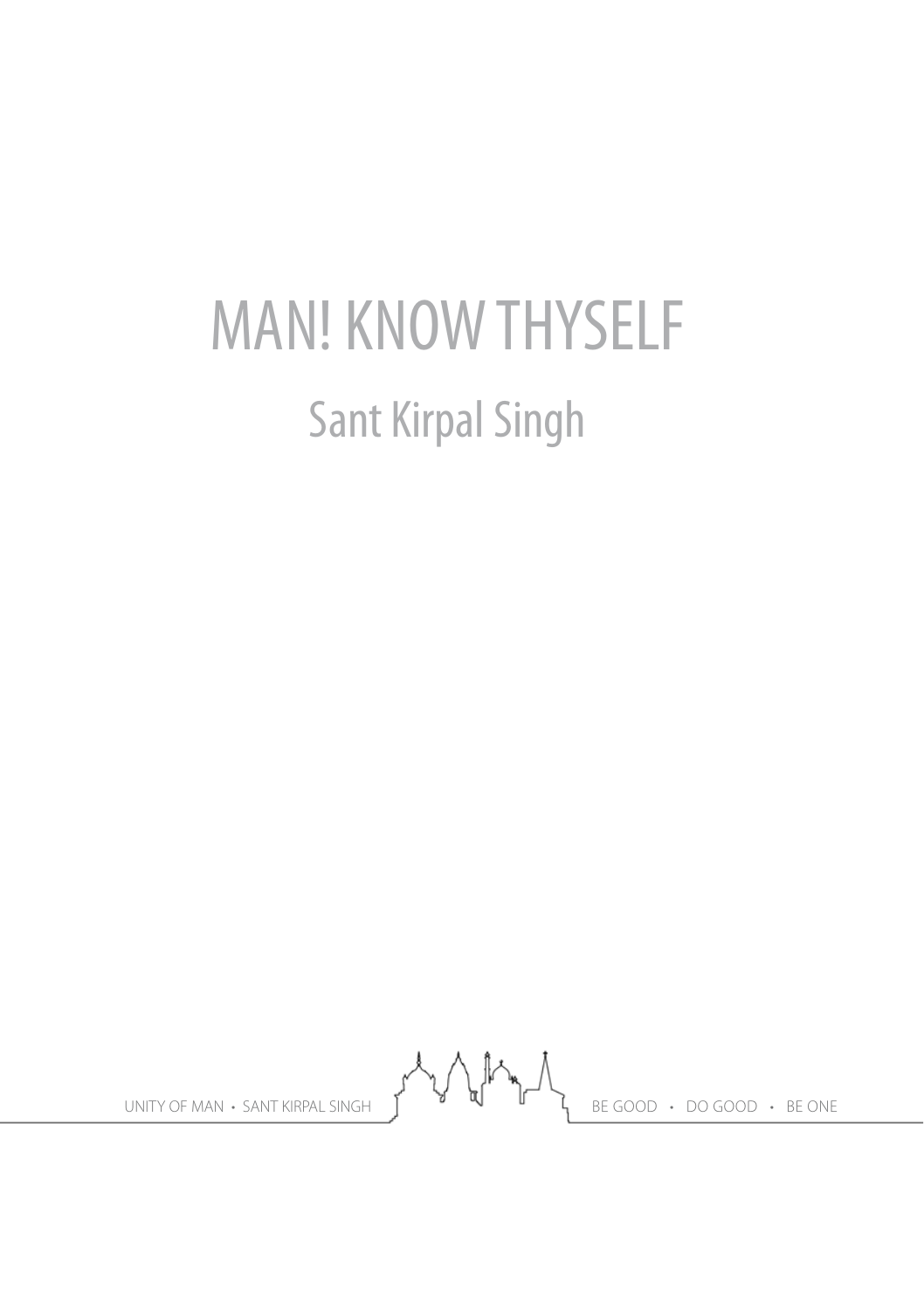# MAN! KNOW THYSELF Sant Kirpal Singh

UNITY OF MAN • SANT KIRPAL SINGH  $\left\{ \begin{array}{ccc} \downarrow & \downarrow & \downarrow & \downarrow \ \downarrow & \downarrow & \downarrow & \downarrow \end{array} \right\}$  BE GOOD • DO GOOD • BE ONE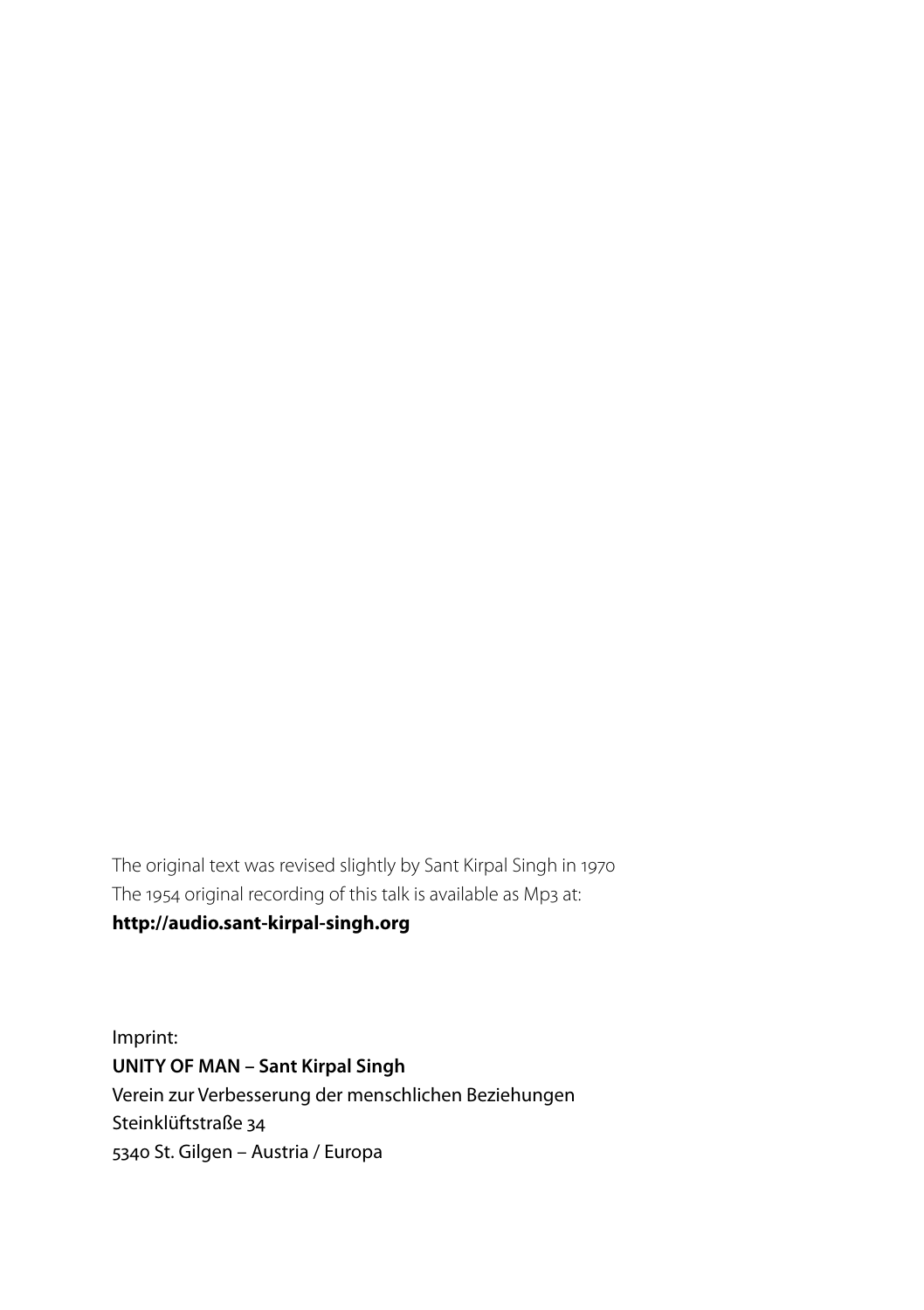The original text was revised slightly by Sant Kirpal Singh in 1970 The 1954 original recording of this talk is available as Mp3 at:

#### **http://audio.sant-kirpal-singh.org**

Imprint: **UNITY OF MAN – Sant Kirpal Singh** Verein zur Verbesserung der menschlichen Beziehungen Steinklüftstraße 34 5340 St. Gilgen – Austria / Europa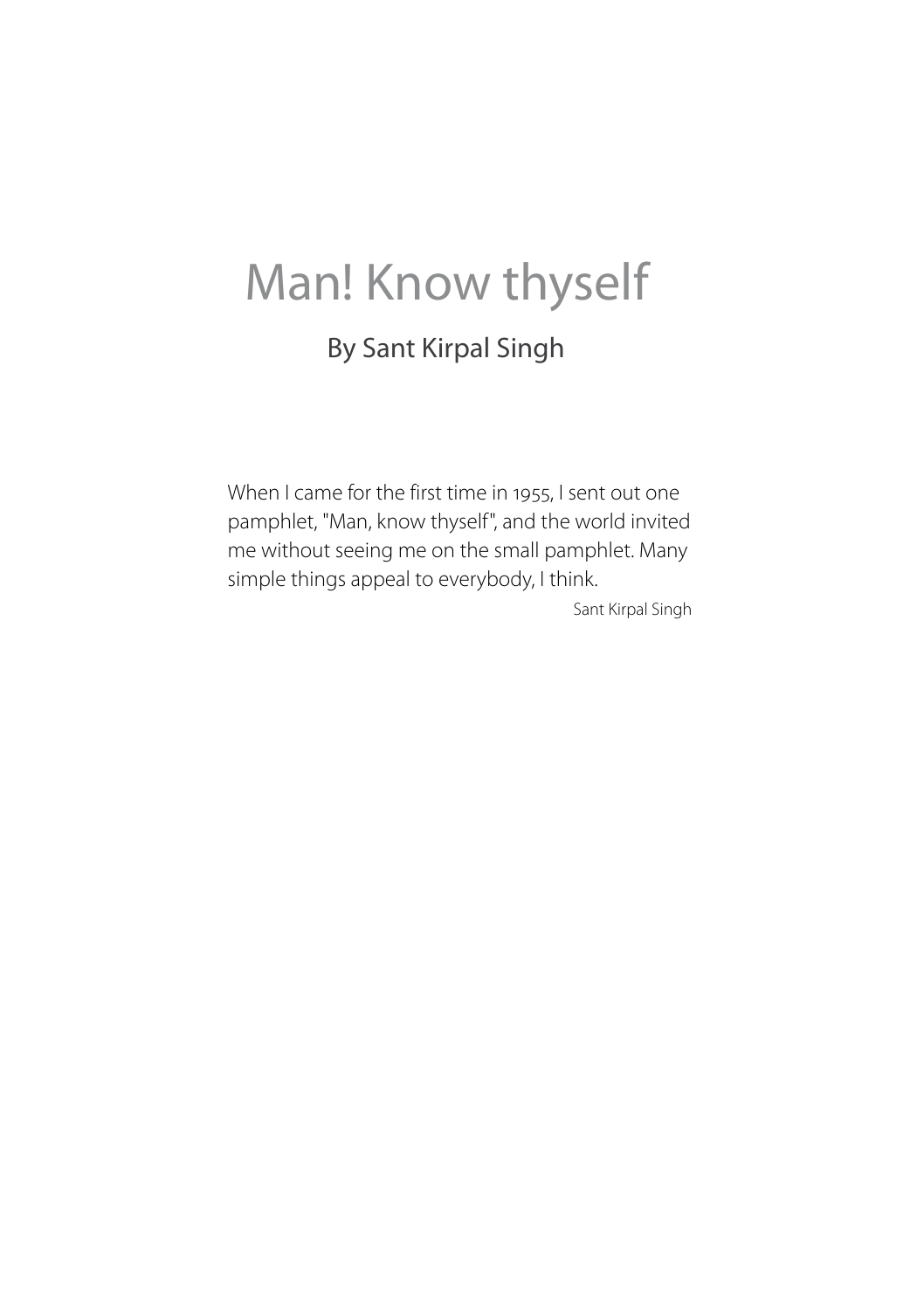# Man! Know thyself

### By Sant Kirpal Singh

When I came for the first time in 1955, I sent out one pamphlet, "Man, know thyself", and the world invited me without seeing me on the small pamphlet. Many simple things appeal to everybody, I think.

Sant Kirpal Singh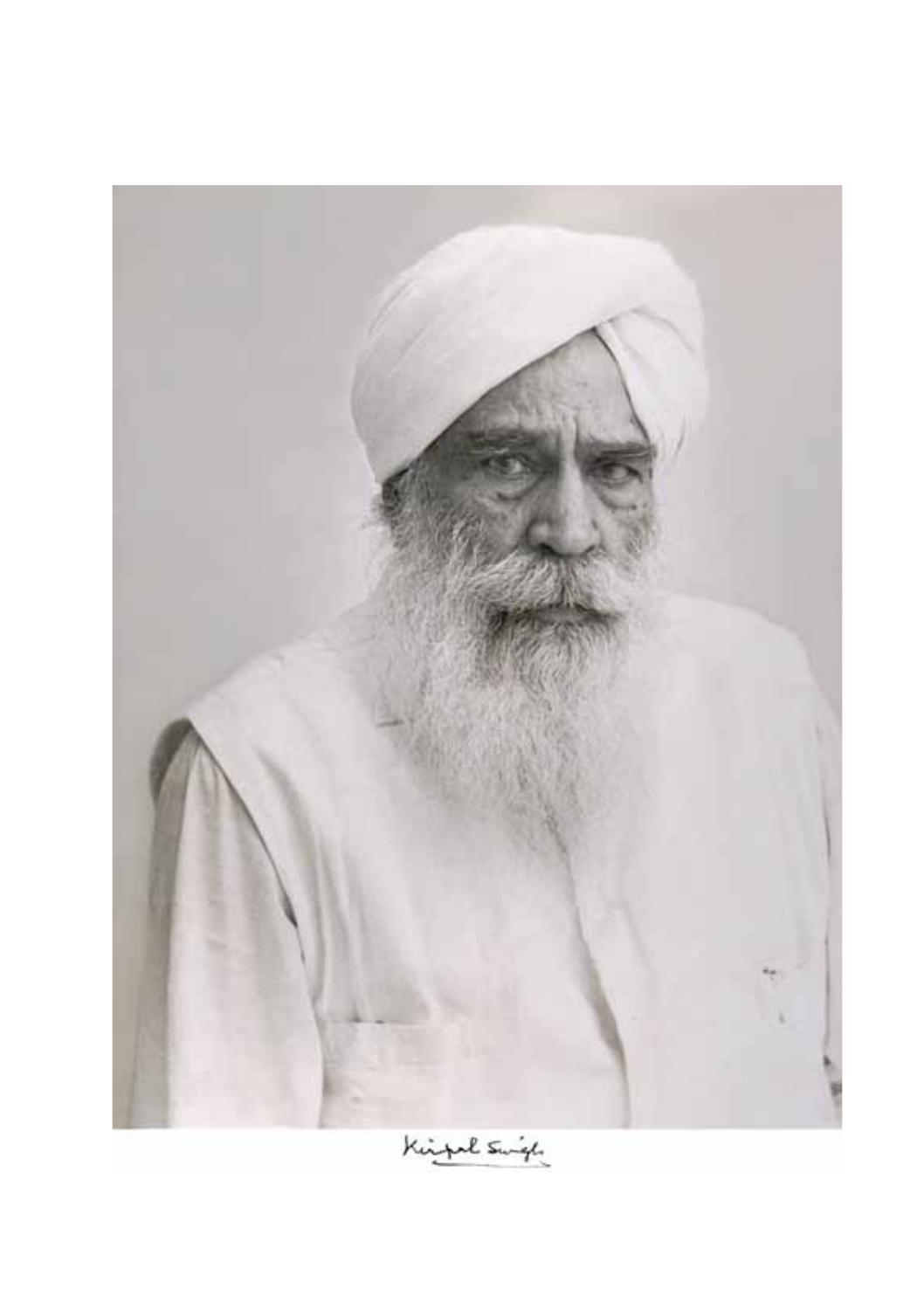

Kingal Swift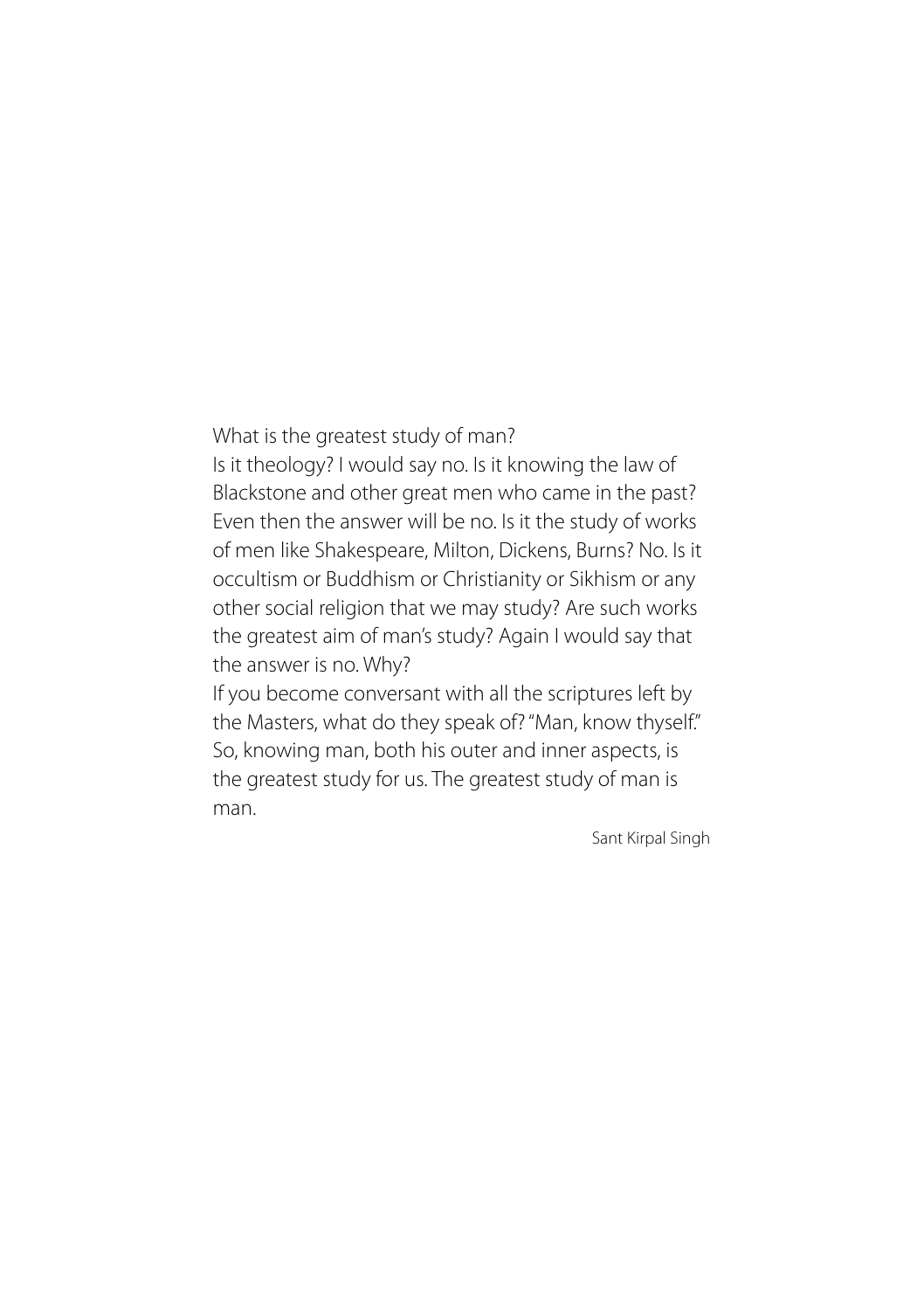#### What is the greatest study of man?

Is it theology? I would say no. Is it knowing the law of Blackstone and other great men who came in the past? Even then the answer will be no. Is it the study of works of men like Shakespeare, Milton, Dickens, Burns? No. Is it occultism or Buddhism or Christianity or Sikhism or any other social religion that we may study? Are such works the greatest aim of man's study? Again I would say that the answer is no. Why?

If you become conversant with all the scriptures left by the Masters, what do they speak of? "Man, know thyself." So, knowing man, both his outer and inner aspects, is the greatest study for us. The greatest study of man is man.

Sant Kirpal Singh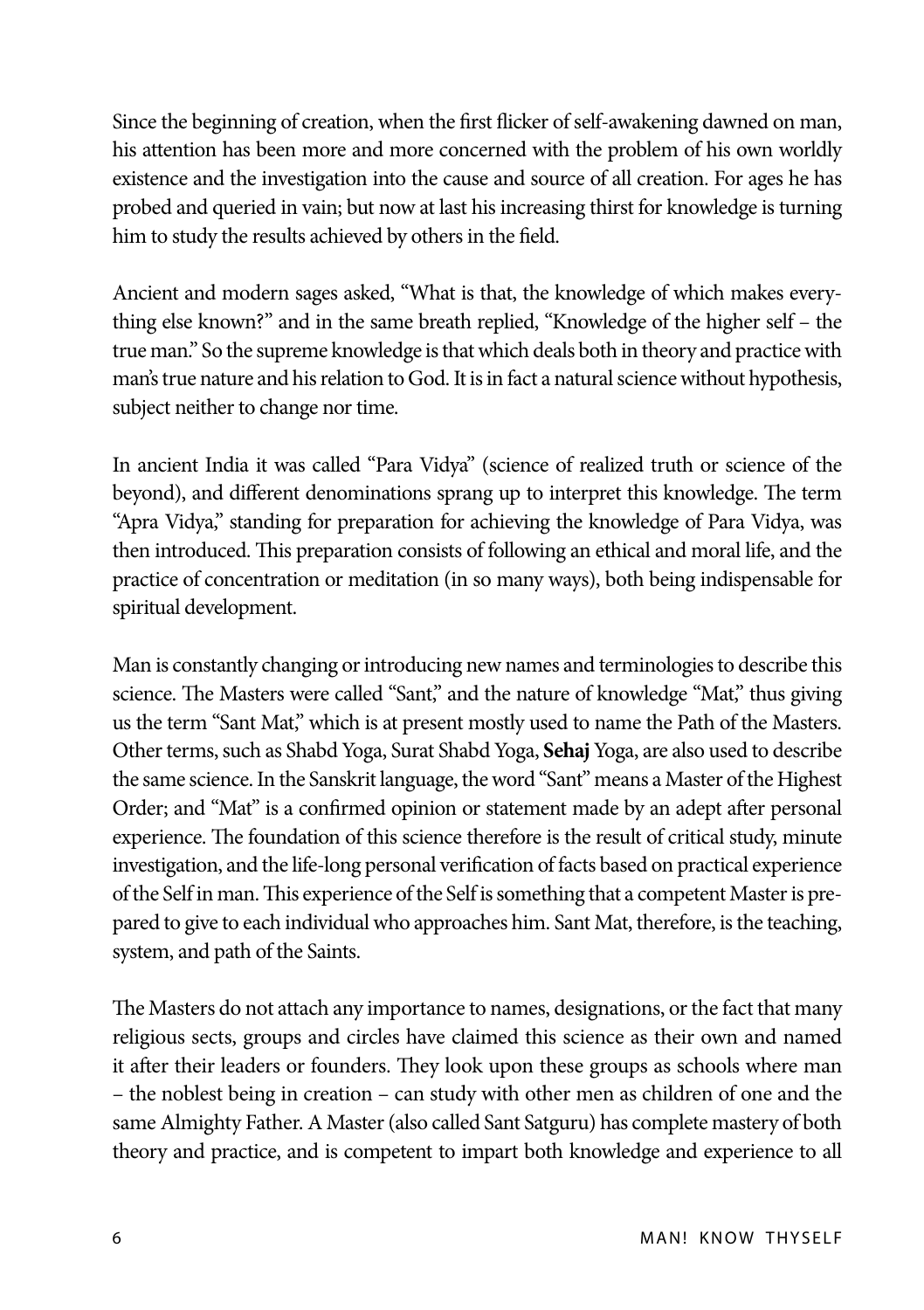Since the beginning of creation, when the first flicker of self-awakening dawned on man, his attention has been more and more concerned with the problem of his own worldly existence and the investigation into the cause and source of all creation. For ages he has probed and queried in vain; but now at last his increasing thirst for knowledge is turning him to study the results achieved by others in the field.

Ancient and modern sages asked, "What is that, the knowledge of which makes everything else known?" and in the same breath replied, "Knowledge of the higher self – the true man." So the supreme knowledge is that which deals both in theory and practice with man's true nature and his relation to God. It is in fact a natural science without hypothesis, subject neither to change nor time.

In ancient India it was called "Para Vidya" (science of realized truth or science of the beyond), and different denominations sprang up to interpret this knowledge. The term "Apra Vidya," standing for preparation for achieving the knowledge of Para Vidya, was then introduced. This preparation consists of following an ethical and moral life, and the practice of concentration or meditation (in so many ways), both being indispensable for spiritual development.

Man is constantly changing or introducing new names and terminologies to describe this science. The Masters were called "Sant," and the nature of knowledge "Mat," thus giving us the term "Sant Mat," which is at present mostly used to name the Path of the Masters. Other terms, such as Shabd Yoga, Surat Shabd Yoga, **Sehaj** Yoga, are also used to describe the same science. In the Sanskrit language, the word "Sant" means a Master of the Highest Order; and "Mat" is a confirmed opinion or statement made by an adept after personal experience. The foundation of this science therefore is the result of critical study, minute investigation, and the life-long personal verification of facts based on practical experience of the Self in man. This experience of the Self is something that a competent Master is prepared to give to each individual who approaches him. Sant Mat, therefore, is the teaching, system, and path of the Saints.

The Masters do not attach any importance to names, designations, or the fact that many religious sects, groups and circles have claimed this science as their own and named it after their leaders or founders. They look upon these groups as schools where man – the noblest being in creation – can study with other men as children of one and the same Almighty Father. A Master (also called Sant Satguru) has complete mastery of both theory and practice, and is competent to impart both knowledge and experience to all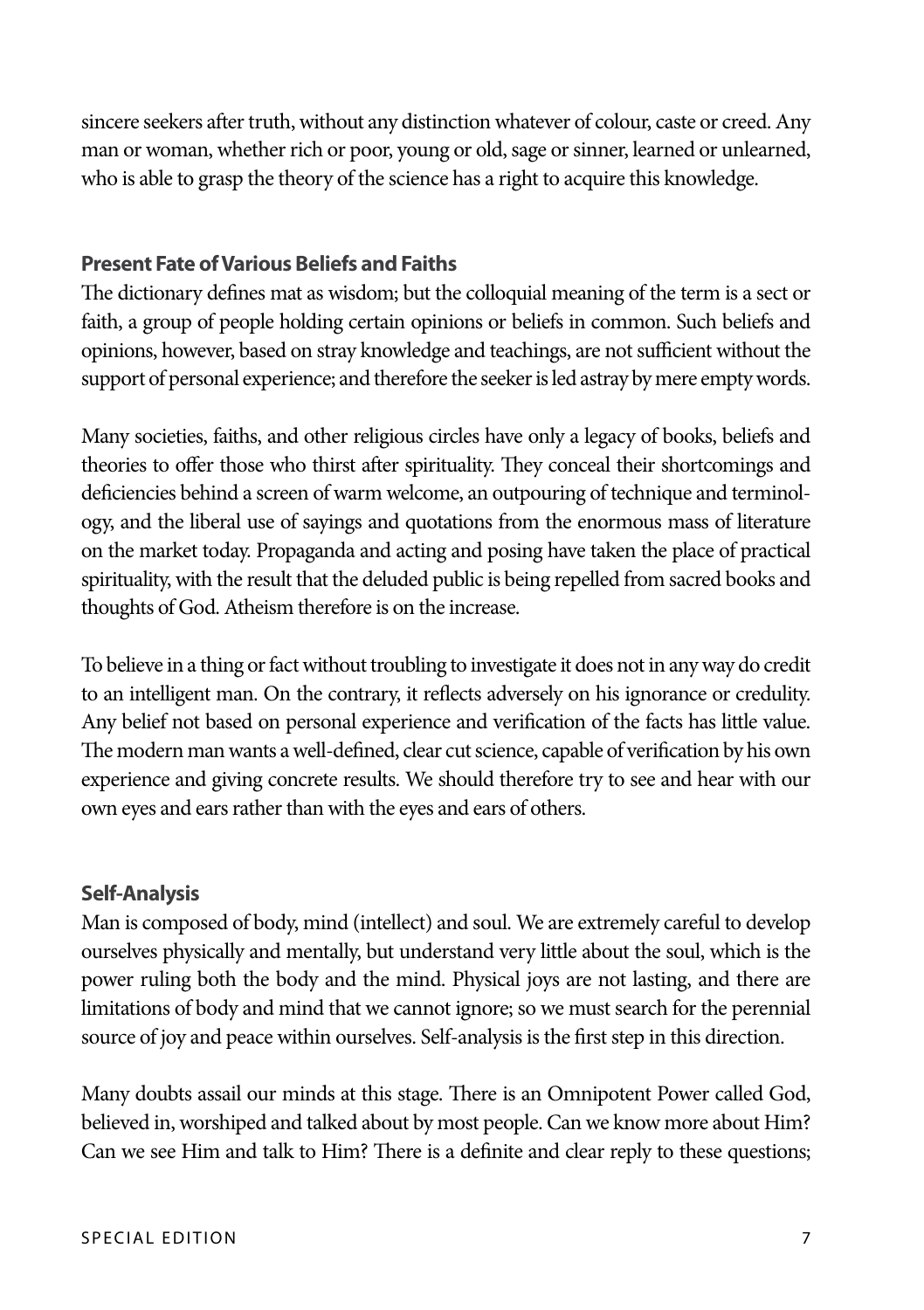sincere seekers after truth, without any distinction whatever of colour, caste or creed. Any man or woman, whether rich or poor, young or old, sage or sinner, learned or unlearned, who is able to grasp the theory of the science has a right to acquire this knowledge.

#### **Present Fate of Various Beliefs and Faiths**

The dictionary defines mat as wisdom; but the colloquial meaning of the term is a sect or faith, a group of people holding certain opinions or beliefs in common. Such beliefs and opinions, however, based on stray knowledge and teachings, are not sufficient without the support of personal experience; and therefore the seeker is led astray by mere empty words.

Many societies, faiths, and other religious circles have only a legacy of books, beliefs and theories to offer those who thirst after spirituality. They conceal their shortcomings and deficiencies behind a screen of warm welcome, an outpouring of technique and terminology, and the liberal use of sayings and quotations from the enormous mass of literature on the market today. Propaganda and acting and posing have taken the place of practical spirituality, with the result that the deluded public is being repelled from sacred books and thoughts of God. Atheism therefore is on the increase.

To believe in a thing or fact without troubling to investigate it does not in any way do credit to an intelligent man. On the contrary, it reflects adversely on his ignorance or credulity. Any belief not based on personal experience and verification of the facts has little value. The modern man wants a well-defined, clear cut science, capable of verification by his own experience and giving concrete results. We should therefore try to see and hear with our own eyes and ears rather than with the eyes and ears of others.

#### **Self-Analysis**

Man is composed of body, mind (intellect) and soul. We are extremely careful to develop ourselves physically and mentally, but understand very little about the soul, which is the power ruling both the body and the mind. Physical joys are not lasting, and there are limitations of body and mind that we cannot ignore; so we must search for the perennial source of joy and peace within ourselves. Self-analysis is the first step in this direction.

Many doubts assail our minds at this stage. There is an Omnipotent Power called God, believed in, worshiped and talked about by most people. Can we know more about Him? Can we see Him and talk to Him? There is a definite and clear reply to these questions;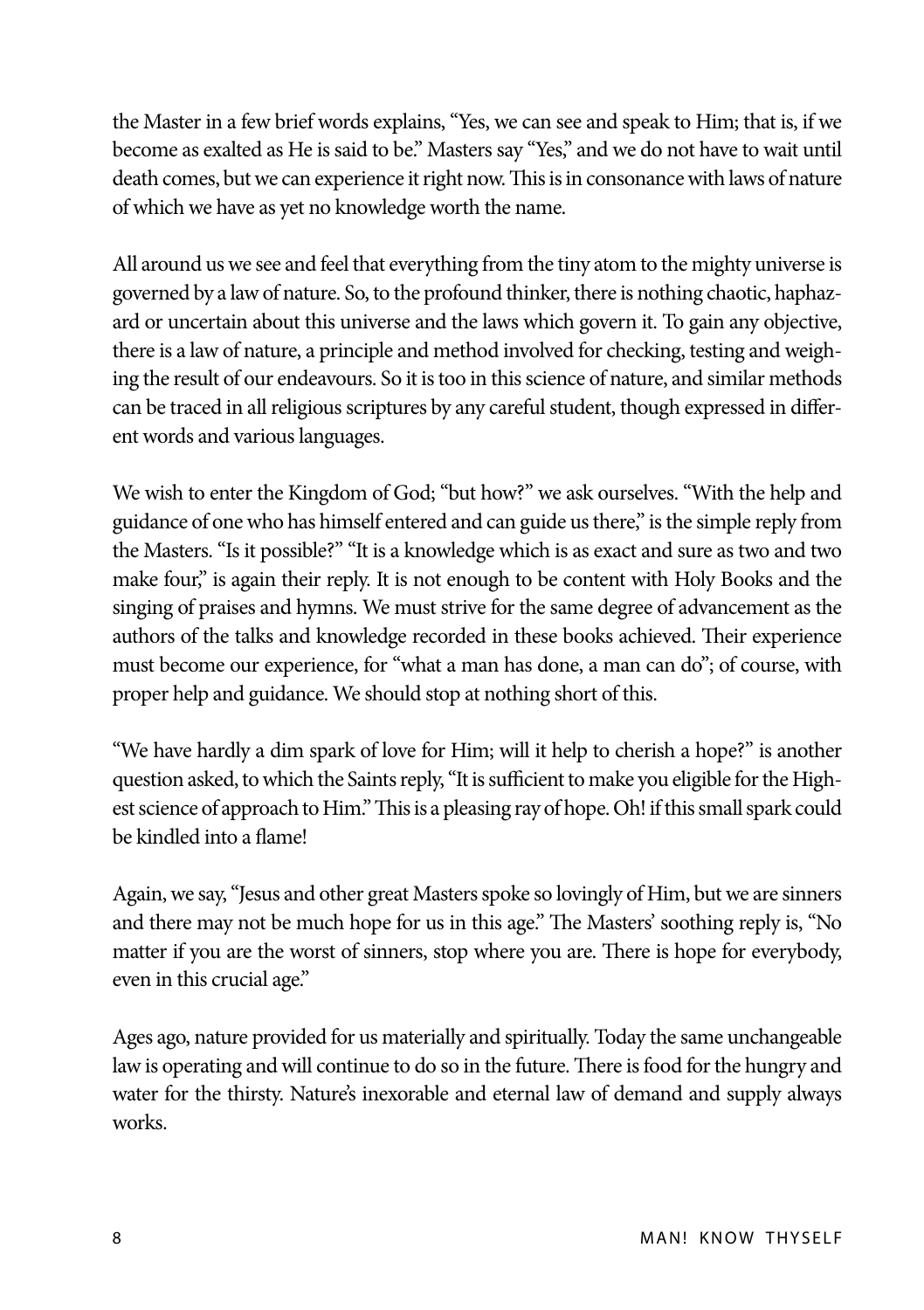the Master in a few brief words explains, "Yes, we can see and speak to Him; that is, if we become as exalted as He is said to be." Masters say "Yes," and we do not have to wait until death comes, but we can experience it right now. This is in consonance with laws of nature of which we have as yet no knowledge worth the name.

All around us we see and feel that everything from the tiny atom to the mighty universe is governed by a law of nature. So, to the profound thinker, there is nothing chaotic, haphazard or uncertain about this universe and the laws which govern it. To gain any objective, there is a law of nature, a principle and method involved for checking, testing and weighing the result of our endeavours. So it is too in this science of nature, and similar methods can be traced in all religious scriptures by any careful student, though expressed in different words and various languages.

We wish to enter the Kingdom of God; "but how?" we ask ourselves. "With the help and guidance of one who has himself entered and can guide us there," is the simple reply from the Masters. "Is it possible?" "It is a knowledge which is as exact and sure as two and two make four," is again their reply. It is not enough to be content with Holy Books and the singing of praises and hymns. We must strive for the same degree of advancement as the authors of the talks and knowledge recorded in these books achieved. Their experience must become our experience, for "what a man has done, a man can do"; of course, with proper help and guidance. We should stop at nothing short of this.

"We have hardly a dim spark of love for Him; will it help to cherish a hope?" is another question asked, to which the Saints reply, "It is sufficient to make you eligible for the Highest science of approach to Him." This is a pleasing ray of hope. Oh! if this small spark could be kindled into a flame!

Again, we say, "Jesus and other great Masters spoke so lovingly of Him, but we are sinners and there may not be much hope for us in this age." The Masters' soothing reply is, "No matter if you are the worst of sinners, stop where you are. There is hope for everybody, even in this crucial age."

Ages ago, nature provided for us materially and spiritually. Today the same unchangeable law is operating and will continue to do so in the future. There is food for the hungry and water for the thirsty. Nature's inexorable and eternal law of demand and supply always works.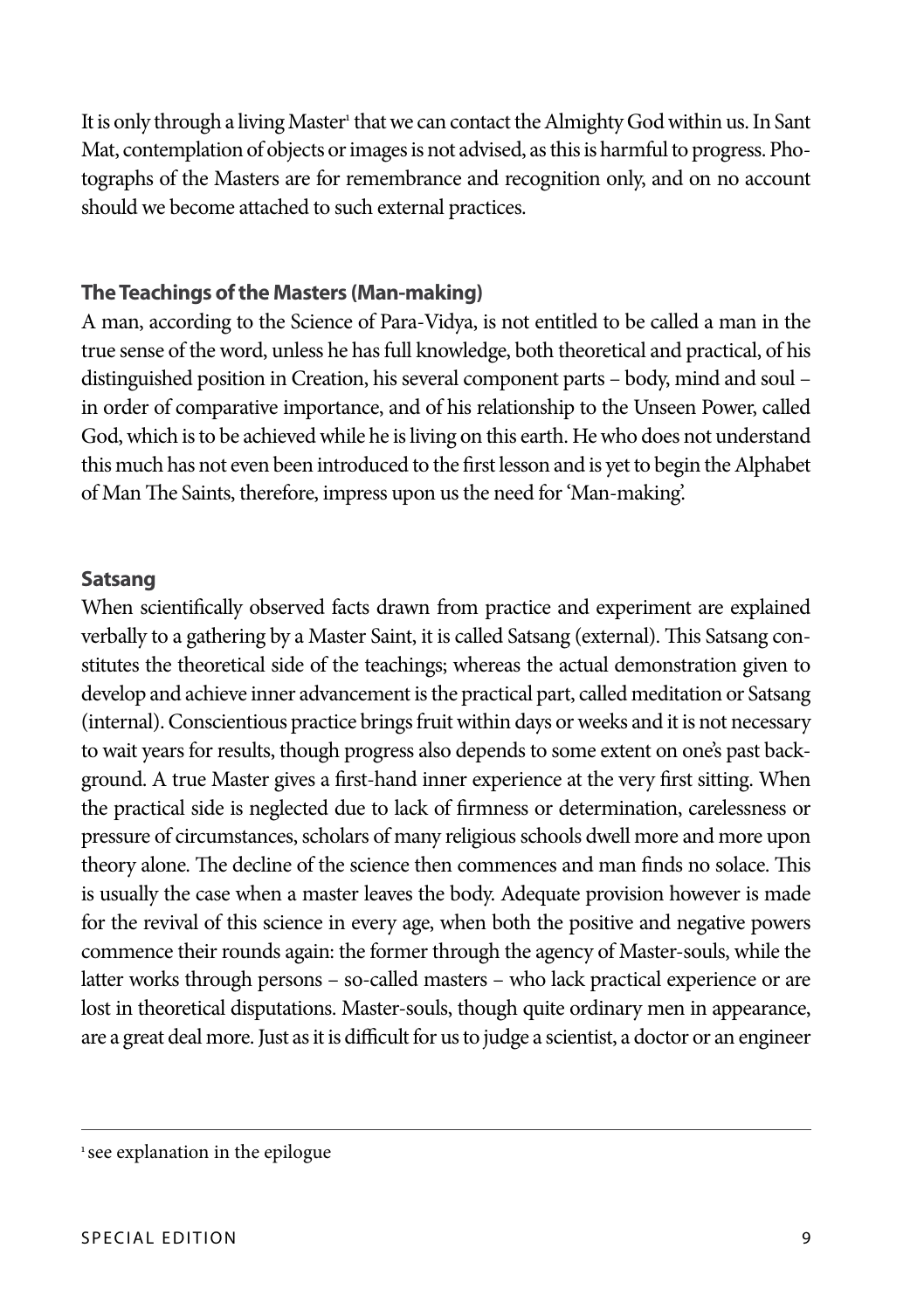It is only through a living Master<sup>1</sup> that we can contact the Almighty God within us. In Sant Mat, contemplation of objects or images is not advised, as this is harmful to progress. Photographs of the Masters are for remembrance and recognition only, and on no account should we become attached to such external practices.

#### **The Teachings of the Masters (Man-making)**

A man, according to the Science of Para-Vidya, is not entitled to be called a man in the true sense of the word, unless he has full knowledge, both theoretical and practical, of his distinguished position in Creation, his several component parts – body, mind and soul – in order of comparative importance, and of his relationship to the Unseen Power, called God, which is to be achieved while he is living on this earth. He who does not understand this much has not even been introduced to the first lesson and is yet to begin the Alphabet of Man The Saints, therefore, impress upon us the need for 'Man-making'.

#### **Satsang**

When scientifically observed facts drawn from practice and experiment are explained verbally to a gathering by a Master Saint, it is called Satsang (external). This Satsang constitutes the theoretical side of the teachings; whereas the actual demonstration given to develop and achieve inner advancement is the practical part, called meditation or Satsang (internal). Conscientious practice brings fruit within days or weeks and it is not necessary to wait years for results, though progress also depends to some extent on one's past background. A true Master gives a first-hand inner experience at the very first sitting. When the practical side is neglected due to lack of firmness or determination, carelessness or pressure of circumstances, scholars of many religious schools dwell more and more upon theory alone. The decline of the science then commences and man finds no solace. This is usually the case when a master leaves the body. Adequate provision however is made for the revival of this science in every age, when both the positive and negative powers commence their rounds again: the former through the agency of Master-souls, while the latter works through persons – so-called masters – who lack practical experience or are lost in theoretical disputations. Master-souls, though quite ordinary men in appearance, are a great deal more. Just as it is difficult for us to judge a scientist, a doctor or an engineer

<sup>&</sup>lt;sup>1</sup> see explanation in the epilogue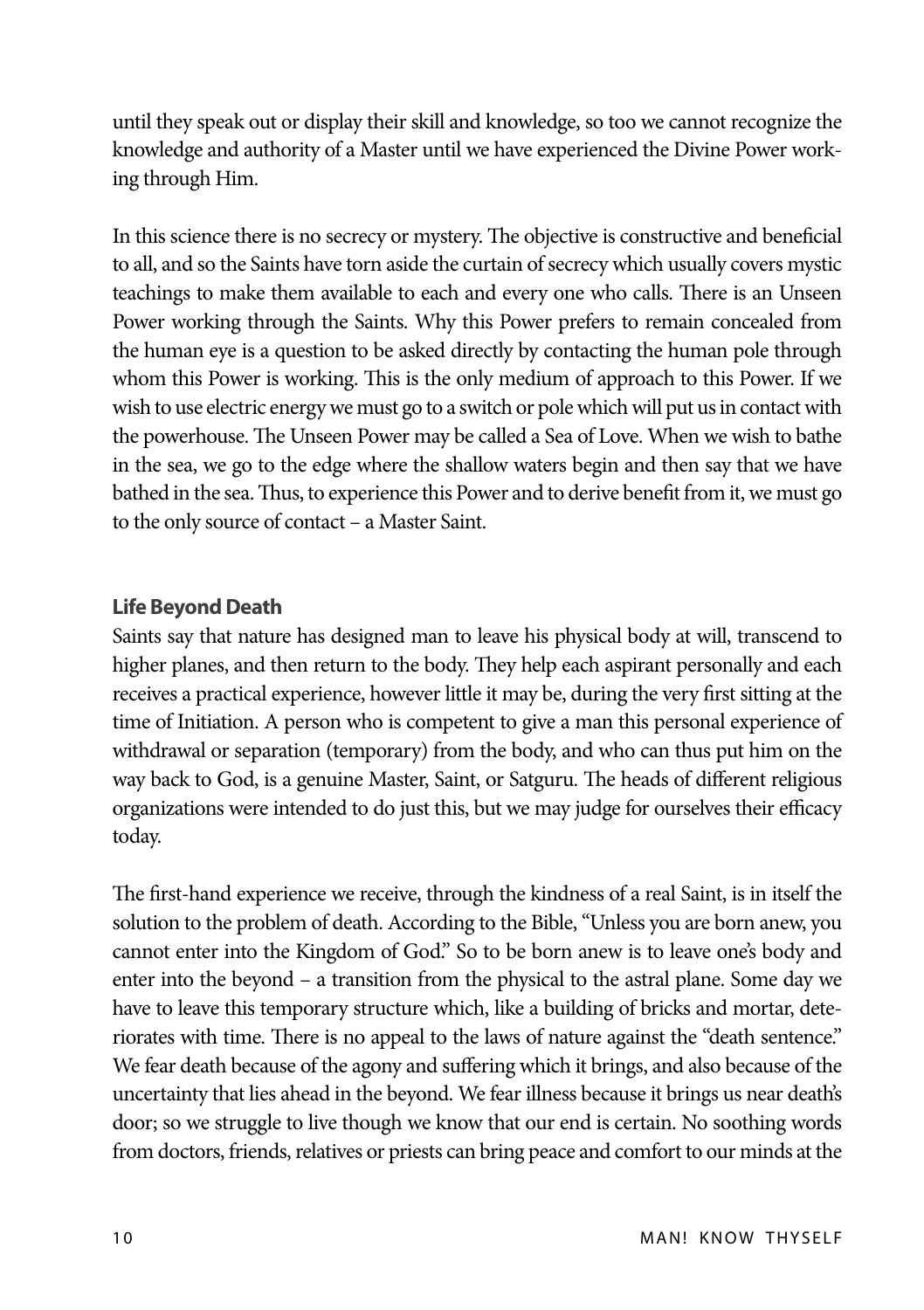until they speak out or display their skill and knowledge, so too we cannot recognize the knowledge and authority of a Master until we have experienced the Divine Power working through Him.

In this science there is no secrecy or mystery. The objective is constructive and beneficial to all, and so the Saints have torn aside the curtain of secrecy which usually covers mystic teachings to make them available to each and every one who calls. There is an Unseen Power working through the Saints. Why this Power prefers to remain concealed from the human eye is a question to be asked directly by contacting the human pole through whom this Power is working. This is the only medium of approach to this Power. If we wish to use electric energy we must go to a switch or pole which will put us in contact with the powerhouse. The Unseen Power may be called a Sea of Love. When we wish to bathe in the sea, we go to the edge where the shallow waters begin and then say that we have bathed in the sea. Thus, to experience this Power and to derive benefit from it, we must go to the only source of contact – a Master Saint.

#### **Life Beyond Death**

Saints say that nature has designed man to leave his physical body at will, transcend to higher planes, and then return to the body. They help each aspirant personally and each receives a practical experience, however little it may be, during the very first sitting at the time of Initiation. A person who is competent to give a man this personal experience of withdrawal or separation (temporary) from the body, and who can thus put him on the way back to God, is a genuine Master, Saint, or Satguru. The heads of different religious organizations were intended to do just this, but we may judge for ourselves their efficacy today.

The first-hand experience we receive, through the kindness of a real Saint, is in itself the solution to the problem of death. According to the Bible, "Unless you are born anew, you cannot enter into the Kingdom of God." So to be born anew is to leave one's body and enter into the beyond – a transition from the physical to the astral plane. Some day we have to leave this temporary structure which, like a building of bricks and mortar, deteriorates with time. There is no appeal to the laws of nature against the "death sentence." We fear death because of the agony and suffering which it brings, and also because of the uncertainty that lies ahead in the beyond. We fear illness because it brings us near death's door; so we struggle to live though we know that our end is certain. No soothing words from doctors, friends, relatives or priests can bring peace and comfort to our minds at the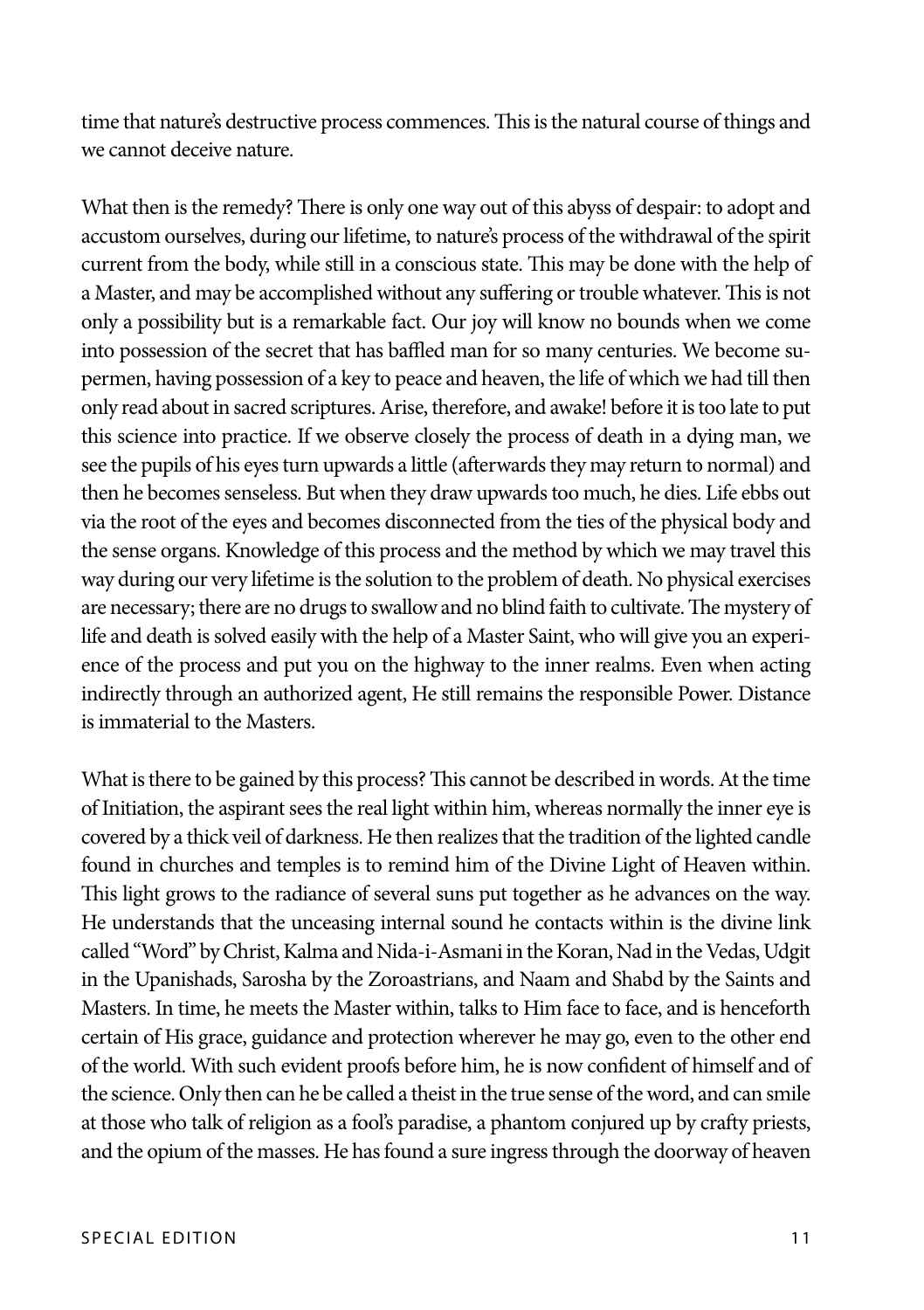time that nature's destructive process commences. This is the natural course of things and we cannot deceive nature.

What then is the remedy? There is only one way out of this abyss of despair: to adopt and accustom ourselves, during our lifetime, to nature's process of the withdrawal of the spirit current from the body, while still in a conscious state. This may be done with the help of a Master, and may be accomplished without any suffering or trouble whatever. This is not only a possibility but is a remarkable fact. Our joy will know no bounds when we come into possession of the secret that has baffled man for so many centuries. We become supermen, having possession of a key to peace and heaven, the life of which we had till then only read about in sacred scriptures. Arise, therefore, and awake! before it is too late to put this science into practice. If we observe closely the process of death in a dying man, we see the pupils of his eyes turn upwards a little (afterwards they may return to normal) and then he becomes senseless. But when they draw upwards too much, he dies. Life ebbs out via the root of the eyes and becomes disconnected from the ties of the physical body and the sense organs. Knowledge of this process and the method by which we may travel this way during our very lifetime is the solution to the problem of death. No physical exercises are necessary; there are no drugs to swallow and no blind faith to cultivate. The mystery of life and death is solved easily with the help of a Master Saint, who will give you an experience of the process and put you on the highway to the inner realms. Even when acting indirectly through an authorized agent, He still remains the responsible Power. Distance is immaterial to the Masters.

What is there to be gained by this process? This cannot be described in words. At the time of Initiation, the aspirant sees the real light within him, whereas normally the inner eye is covered by a thick veil of darkness. He then realizes that the tradition of the lighted candle found in churches and temples is to remind him of the Divine Light of Heaven within. This light grows to the radiance of several suns put together as he advances on the way. He understands that the unceasing internal sound he contacts within is the divine link called "Word" by Christ, Kalma and Nida-i-Asmani in the Koran, Nad in the Vedas, Udgit in the Upanishads, Sarosha by the Zoroastrians, and Naam and Shabd by the Saints and Masters. In time, he meets the Master within, talks to Him face to face, and is henceforth certain of His grace, guidance and protection wherever he may go, even to the other end of the world. With such evident proofs before him, he is now confident of himself and of the science. Only then can he be called a theist in the true sense of the word, and can smile at those who talk of religion as a fool's paradise, a phantom conjured up by crafty priests, and the opium of the masses. He has found a sure ingress through the doorway of heaven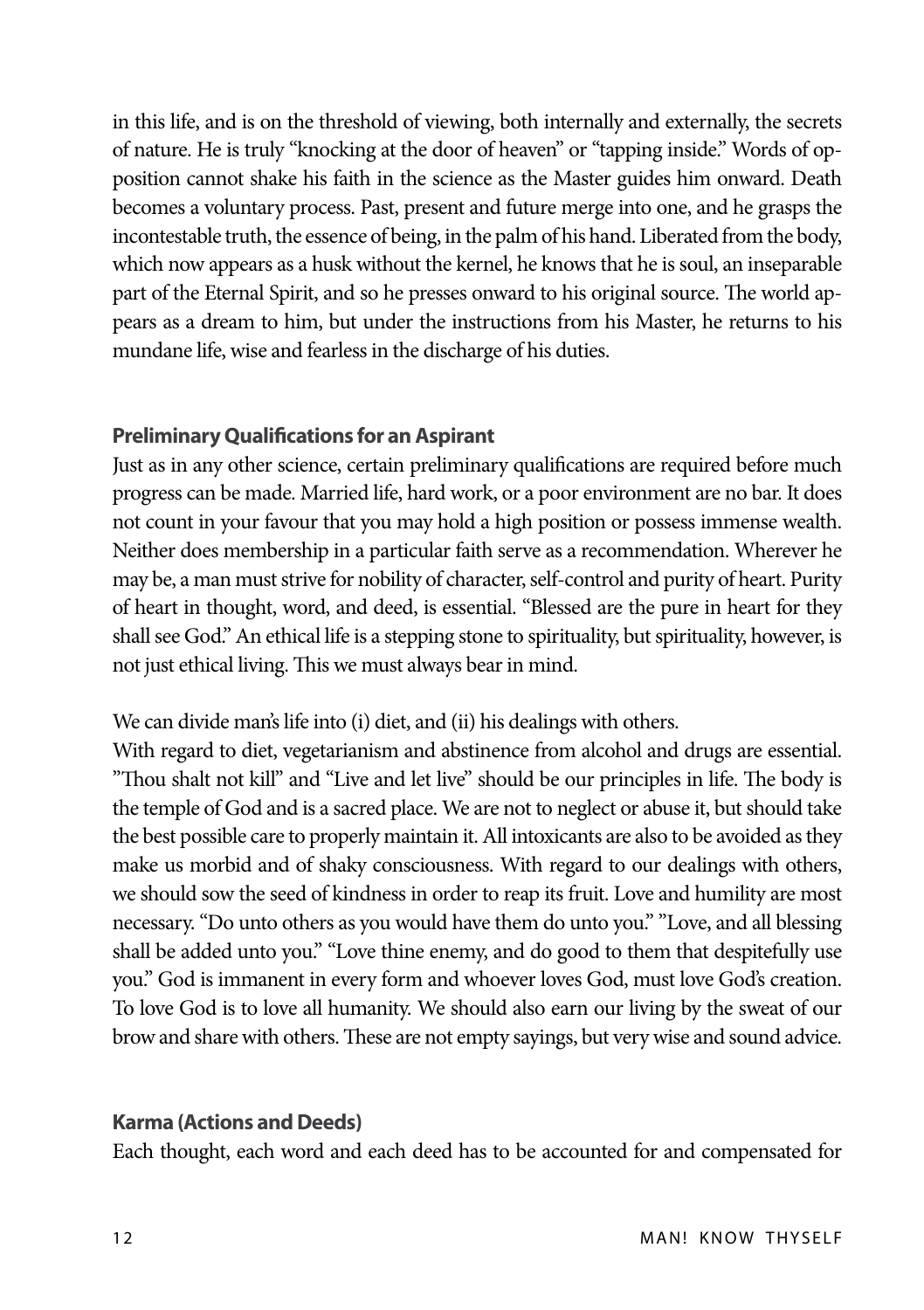in this life, and is on the threshold of viewing, both internally and externally, the secrets of nature. He is truly "knocking at the door of heaven" or "tapping inside." Words of opposition cannot shake his faith in the science as the Master guides him onward. Death becomes a voluntary process. Past, present and future merge into one, and he grasps the incontestable truth, the essence of being, in the palm of his hand. Liberated from the body, which now appears as a husk without the kernel, he knows that he is soul, an inseparable part of the Eternal Spirit, and so he presses onward to his original source. The world appears as a dream to him, but under the instructions from his Master, he returns to his mundane life, wise and fearless in the discharge of his duties.

#### **Preliminary Qualifications for an Aspirant**

Just as in any other science, certain preliminary qualifications are required before much progress can be made. Married life, hard work, or a poor environment are no bar. It does not count in your favour that you may hold a high position or possess immense wealth. Neither does membership in a particular faith serve as a recommendation. Wherever he may be, a man must strive for nobility of character, self-control and purity of heart. Purity of heart in thought, word, and deed, is essential. "Blessed are the pure in heart for they shall see God." An ethical life is a stepping stone to spirituality, but spirituality, however, is not just ethical living. This we must always bear in mind.

We can divide man's life into (i) diet, and (ii) his dealings with others.

With regard to diet, vegetarianism and abstinence from alcohol and drugs are essential. "Thou shalt not kill" and "Live and let live" should be our principles in life. The body is the temple of God and is a sacred place. We are not to neglect or abuse it, but should take the best possible care to properly maintain it. All intoxicants are also to be avoided as they make us morbid and of shaky consciousness. With regard to our dealings with others, we should sow the seed of kindness in order to reap its fruit. Love and humility are most necessary. "Do unto others as you would have them do unto you." "Love, and all blessing shall be added unto you." "Love thine enemy, and do good to them that despitefully use you." God is immanent in every form and whoever loves God, must love God's creation. To love God is to love all humanity. We should also earn our living by the sweat of our brow and share with others. These are not empty sayings, but very wise and sound advice.

#### **Karma (Actions and Deeds)**

Each thought, each word and each deed has to be accounted for and compensated for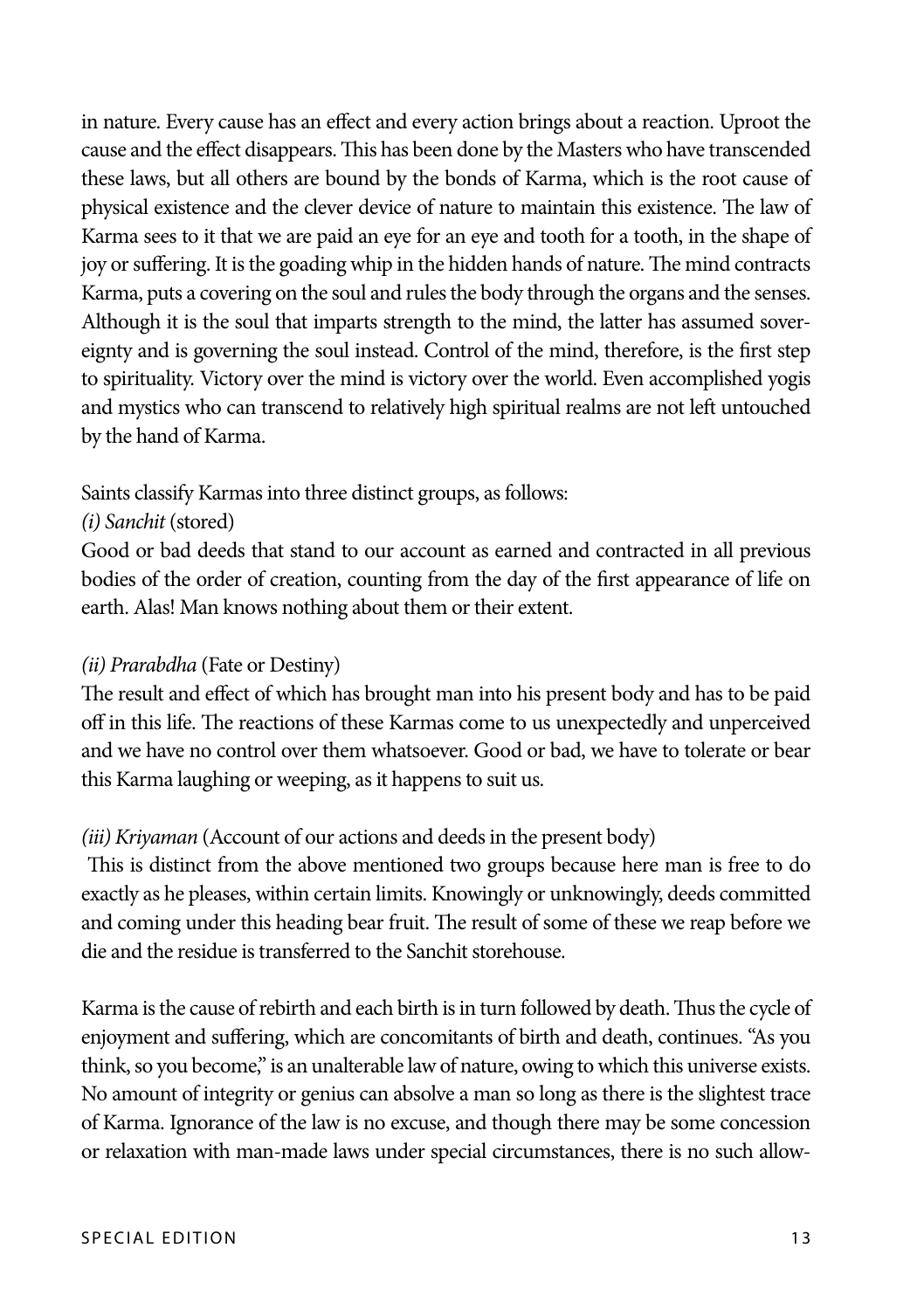in nature. Every cause has an effect and every action brings about a reaction. Uproot the cause and the effect disappears. This has been done by the Masters who have transcended these laws, but all others are bound by the bonds of Karma, which is the root cause of physical existence and the clever device of nature to maintain this existence. The law of Karma sees to it that we are paid an eye for an eye and tooth for a tooth, in the shape of joy or suffering. It is the goading whip in the hidden hands of nature. The mind contracts Karma, puts a covering on the soul and rules the body through the organs and the senses. Although it is the soul that imparts strength to the mind, the latter has assumed sovereignty and is governing the soul instead. Control of the mind, therefore, is the first step to spirituality. Victory over the mind is victory over the world. Even accomplished yogis and mystics who can transcend to relatively high spiritual realms are not left untouched by the hand of Karma.

#### Saints classify Karmas into three distinct groups, as follows:

#### *(i) Sanchit* (stored)

Good or bad deeds that stand to our account as earned and contracted in all previous bodies of the order of creation, counting from the day of the first appearance of life on earth. Alas! Man knows nothing about them or their extent.

#### *(ii) Prarabdha* (Fate or Destiny)

The result and effect of which has brought man into his present body and has to be paid off in this life. The reactions of these Karmas come to us unexpectedly and unperceived and we have no control over them whatsoever. Good or bad, we have to tolerate or bear this Karma laughing or weeping, as it happens to suit us.

#### *(iii) Kriyaman* (Account of our actions and deeds in the present body)

 This is distinct from the above mentioned two groups because here man is free to do exactly as he pleases, within certain limits. Knowingly or unknowingly, deeds committed and coming under this heading bear fruit. The result of some of these we reap before we die and the residue is transferred to the Sanchit storehouse.

Karma is the cause of rebirth and each birth is in turn followed by death. Thus the cycle of enjoyment and suffering, which are concomitants of birth and death, continues. "As you think, so you become," is an unalterable law of nature, owing to which this universe exists. No amount of integrity or genius can absolve a man so long as there is the slightest trace of Karma. Ignorance of the law is no excuse, and though there may be some concession or relaxation with man-made laws under special circumstances, there is no such allow-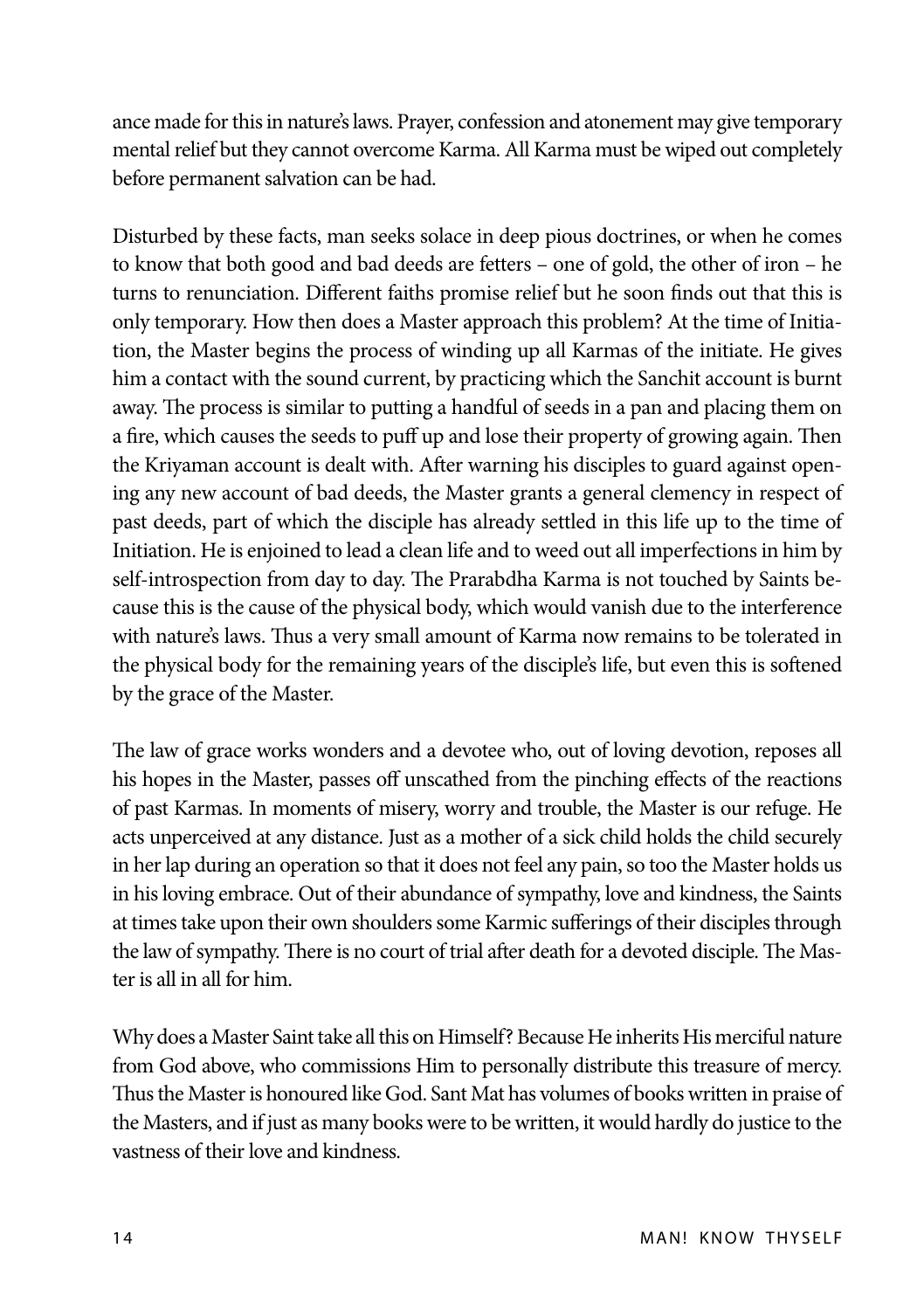ance made for this in nature's laws. Prayer, confession and atonement may give temporary mental relief but they cannot overcome Karma. All Karma must be wiped out completely before permanent salvation can be had.

Disturbed by these facts, man seeks solace in deep pious doctrines, or when he comes to know that both good and bad deeds are fetters – one of gold, the other of iron – he turns to renunciation. Different faiths promise relief but he soon finds out that this is only temporary. How then does a Master approach this problem? At the time of Initiation, the Master begins the process of winding up all Karmas of the initiate. He gives him a contact with the sound current, by practicing which the Sanchit account is burnt away. The process is similar to putting a handful of seeds in a pan and placing them on a fire, which causes the seeds to puff up and lose their property of growing again. Then the Kriyaman account is dealt with. After warning his disciples to guard against opening any new account of bad deeds, the Master grants a general clemency in respect of past deeds, part of which the disciple has already settled in this life up to the time of Initiation. He is enjoined to lead a clean life and to weed out all imperfections in him by self-introspection from day to day. The Prarabdha Karma is not touched by Saints because this is the cause of the physical body, which would vanish due to the interference with nature's laws. Thus a very small amount of Karma now remains to be tolerated in the physical body for the remaining years of the disciple's life, but even this is softened by the grace of the Master.

The law of grace works wonders and a devotee who, out of loving devotion, reposes all his hopes in the Master, passes off unscathed from the pinching effects of the reactions of past Karmas. In moments of misery, worry and trouble, the Master is our refuge. He acts unperceived at any distance. Just as a mother of a sick child holds the child securely in her lap during an operation so that it does not feel any pain, so too the Master holds us in his loving embrace. Out of their abundance of sympathy, love and kindness, the Saints at times take upon their own shoulders some Karmic sufferings of their disciples through the law of sympathy. There is no court of trial after death for a devoted disciple. The Master is all in all for him.

Why does a Master Saint take all this on Himself? Because He inherits His merciful nature from God above, who commissions Him to personally distribute this treasure of mercy. Thus the Master is honoured like God. Sant Mat has volumes of books written in praise of the Masters, and if just as many books were to be written, it would hardly do justice to the vastness of their love and kindness.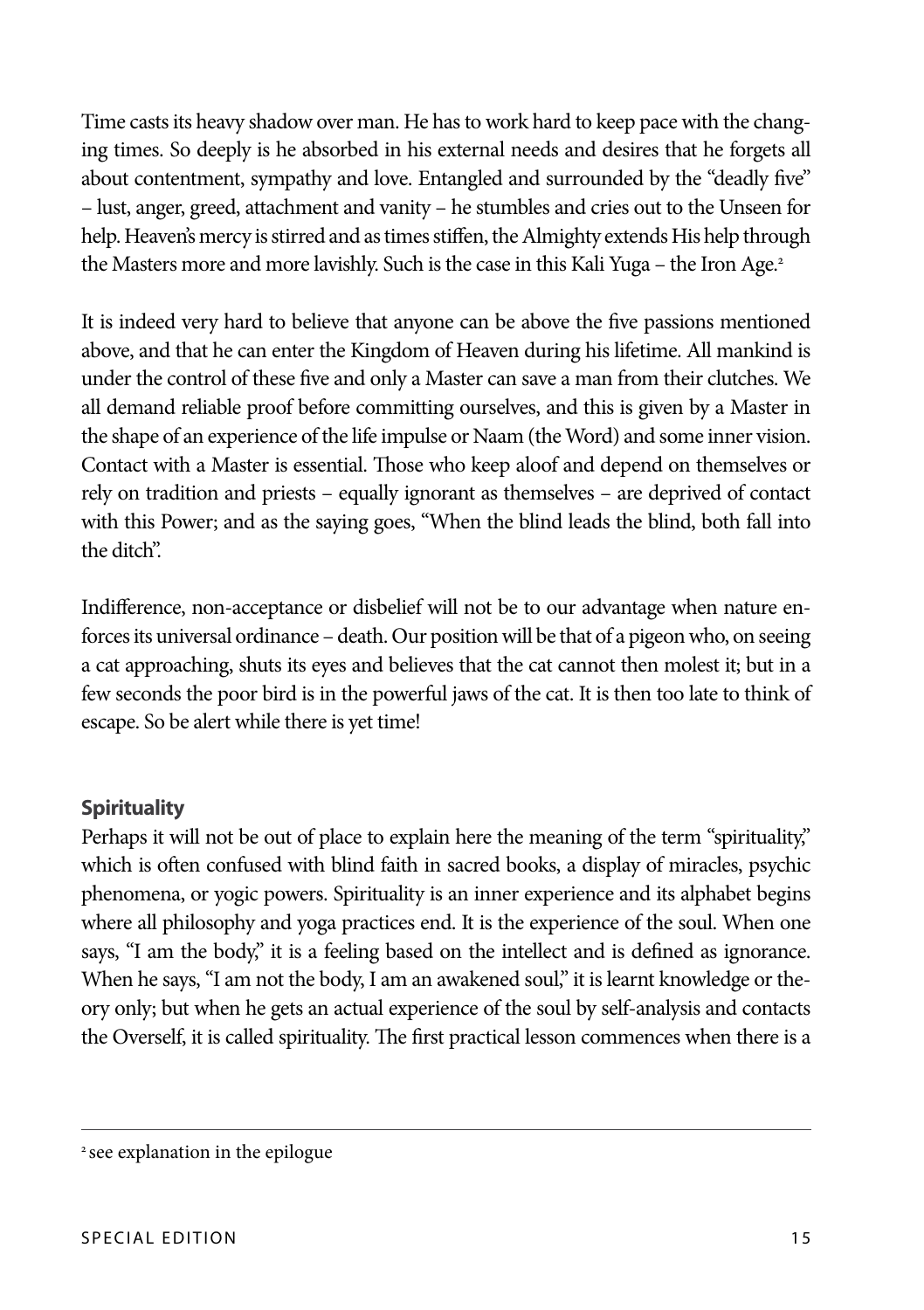Time casts its heavy shadow over man. He has to work hard to keep pace with the changing times. So deeply is he absorbed in his external needs and desires that he forgets all about contentment, sympathy and love. Entangled and surrounded by the "deadly five" – lust, anger, greed, attachment and vanity – he stumbles and cries out to the Unseen for help. Heaven's mercy is stirred and as times stiffen, the Almighty extends His help through the Masters more and more lavishly. Such is the case in this Kali Yuga – the Iron Age.<sup>2</sup>

It is indeed very hard to believe that anyone can be above the five passions mentioned above, and that he can enter the Kingdom of Heaven during his lifetime. All mankind is under the control of these five and only a Master can save a man from their clutches. We all demand reliable proof before committing ourselves, and this is given by a Master in the shape of an experience of the life impulse or Naam (the Word) and some inner vision. Contact with a Master is essential. Those who keep aloof and depend on themselves or rely on tradition and priests – equally ignorant as themselves – are deprived of contact with this Power; and as the saying goes, "When the blind leads the blind, both fall into the ditch".

Indifference, non-acceptance or disbelief will not be to our advantage when nature enforces its universal ordinance – death. Our position will be that of a pigeon who, on seeing a cat approaching, shuts its eyes and believes that the cat cannot then molest it; but in a few seconds the poor bird is in the powerful jaws of the cat. It is then too late to think of escape. So be alert while there is yet time!

#### **Spirituality**

Perhaps it will not be out of place to explain here the meaning of the term "spirituality," which is often confused with blind faith in sacred books, a display of miracles, psychic phenomena, or yogic powers. Spirituality is an inner experience and its alphabet begins where all philosophy and yoga practices end. It is the experience of the soul. When one says, "I am the body," it is a feeling based on the intellect and is defined as ignorance. When he says, "I am not the body, I am an awakened soul," it is learnt knowledge or theory only; but when he gets an actual experience of the soul by self-analysis and contacts the Overself, it is called spirituality. The first practical lesson commences when there is a

<sup>&</sup>lt;sup>2</sup> see explanation in the epilogue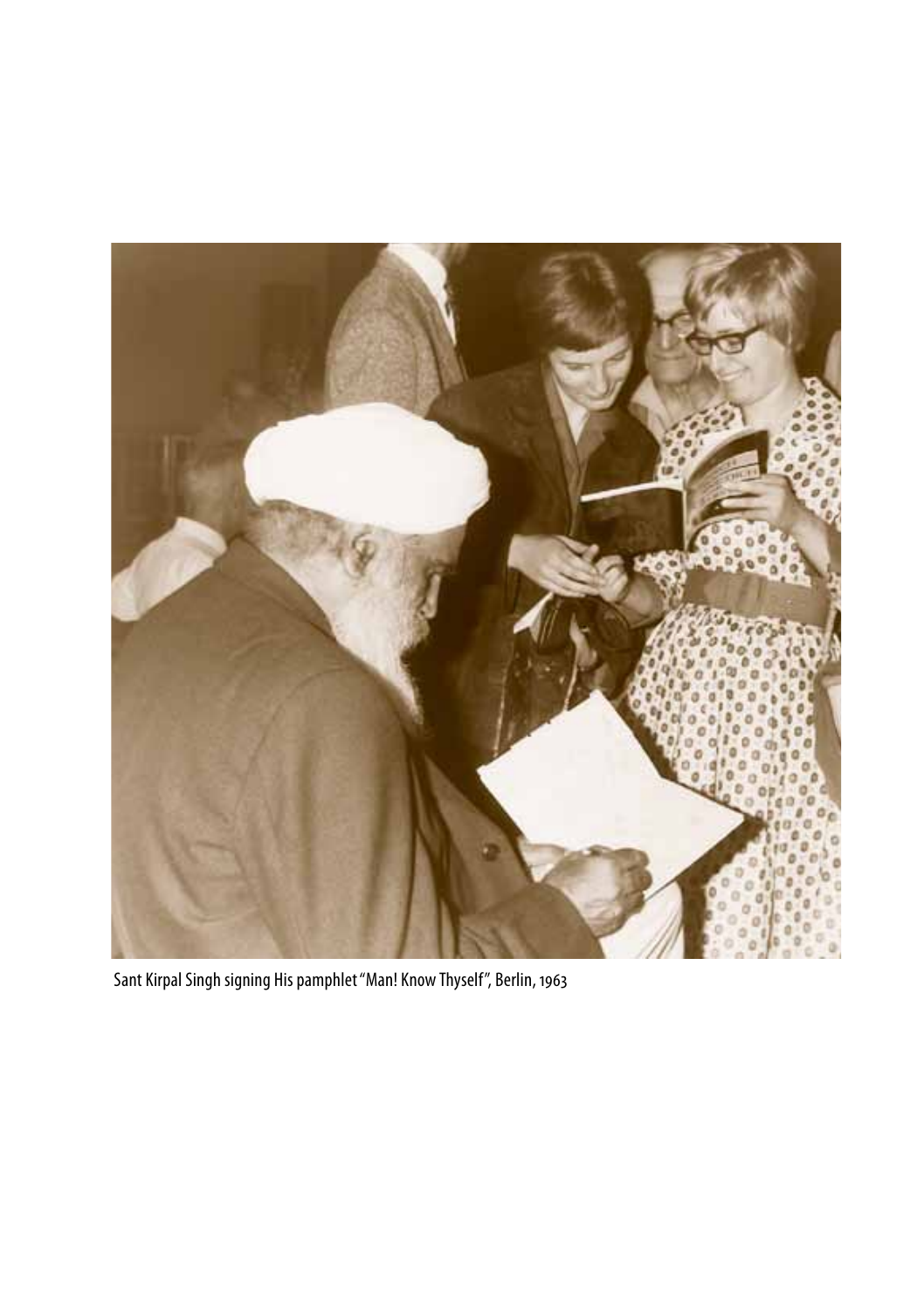

Sant Kirpal Singh signing His pamphlet "Man! Know Thyself", Berlin, 1963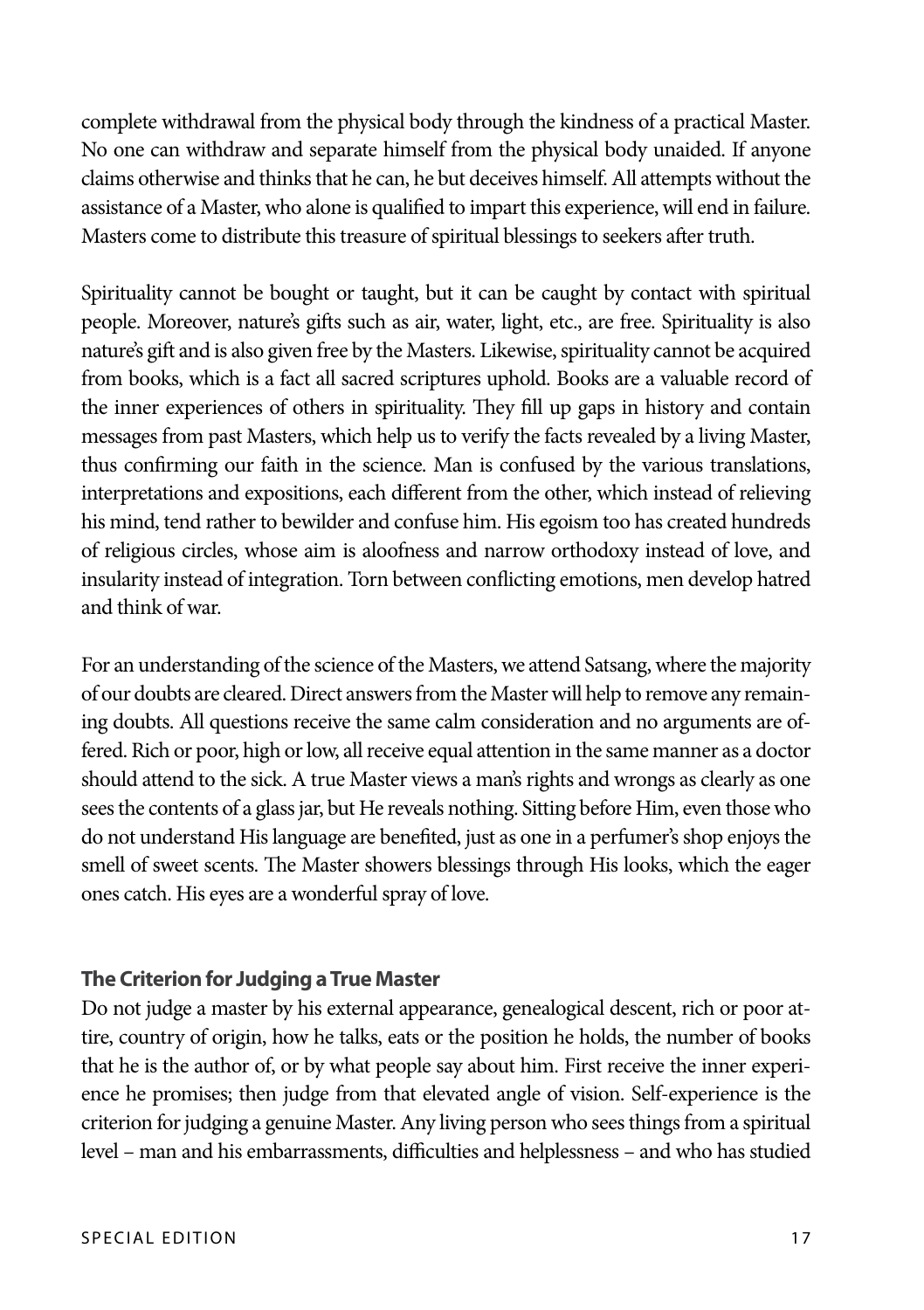complete withdrawal from the physical body through the kindness of a practical Master. No one can withdraw and separate himself from the physical body unaided. If anyone claims otherwise and thinks that he can, he but deceives himself. All attempts without the assistance of a Master, who alone is qualified to impart this experience, will end in failure. Masters come to distribute this treasure of spiritual blessings to seekers after truth.

Spirituality cannot be bought or taught, but it can be caught by contact with spiritual people. Moreover, nature's gifts such as air, water, light, etc., are free. Spirituality is also nature's gift and is also given free by the Masters. Likewise, spirituality cannot be acquired from books, which is a fact all sacred scriptures uphold. Books are a valuable record of the inner experiences of others in spirituality. They fill up gaps in history and contain messages from past Masters, which help us to verify the facts revealed by a living Master, thus confirming our faith in the science. Man is confused by the various translations, interpretations and expositions, each different from the other, which instead of relieving his mind, tend rather to bewilder and confuse him. His egoism too has created hundreds of religious circles, whose aim is aloofness and narrow orthodoxy instead of love, and insularity instead of integration. Torn between conflicting emotions, men develop hatred and think of war.

For an understanding of the science of the Masters, we attend Satsang, where the majority of our doubts are cleared. Direct answers from the Master will help to remove any remaining doubts. All questions receive the same calm consideration and no arguments are offered. Rich or poor, high or low, all receive equal attention in the same manner as a doctor should attend to the sick. A true Master views a man's rights and wrongs as clearly as one sees the contents of a glass jar, but He reveals nothing. Sitting before Him, even those who do not understand His language are benefited, just as one in a perfumer's shop enjoys the smell of sweet scents. The Master showers blessings through His looks, which the eager ones catch. His eyes are a wonderful spray of love.

#### **The Criterion for Judging a True Master**

Do not judge a master by his external appearance, genealogical descent, rich or poor attire, country of origin, how he talks, eats or the position he holds, the number of books that he is the author of, or by what people say about him. First receive the inner experience he promises; then judge from that elevated angle of vision. Self-experience is the criterion for judging a genuine Master. Any living person who sees things from a spiritual level – man and his embarrassments, difficulties and helplessness – and who has studied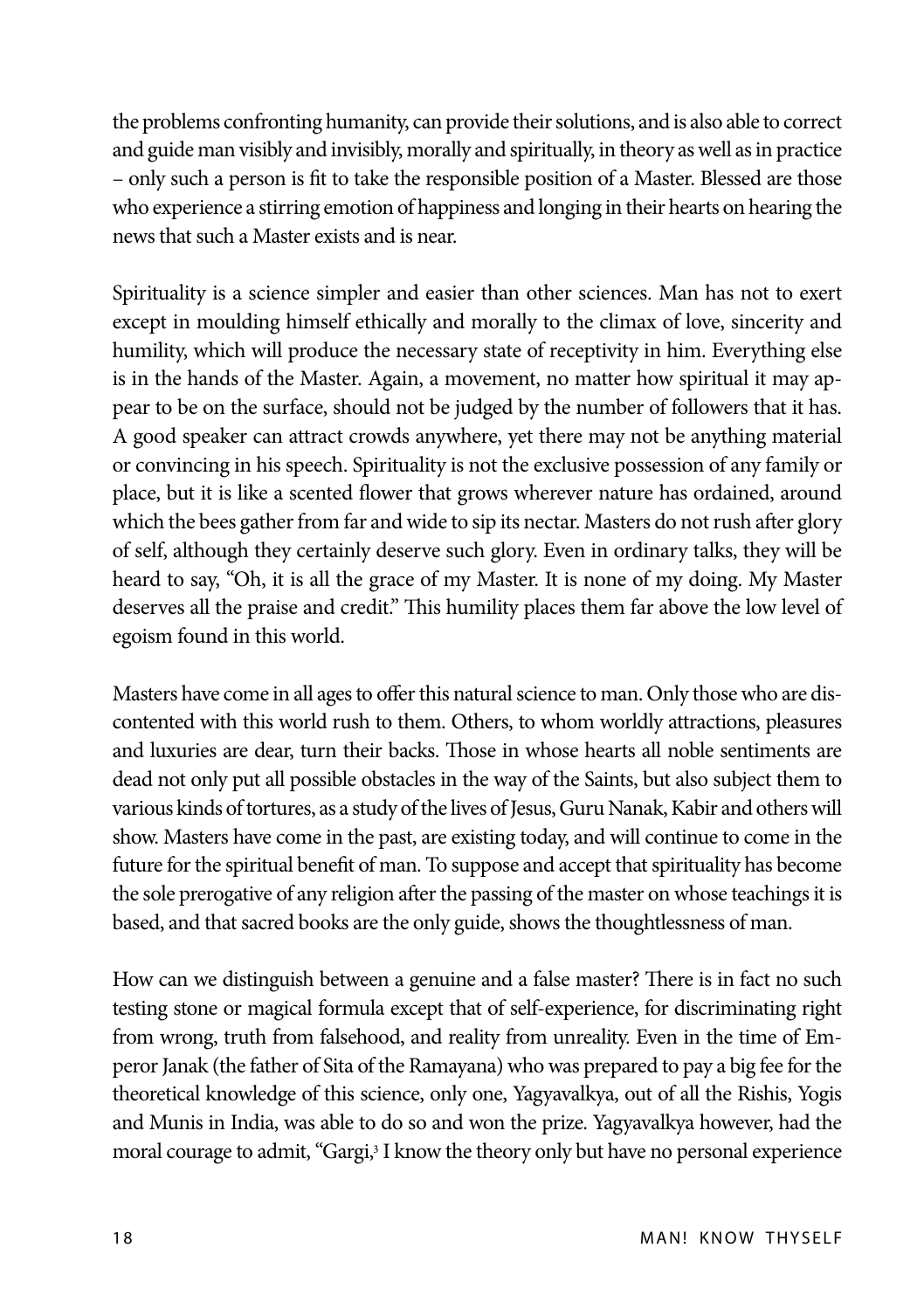the problems confronting humanity, can provide their solutions, and is also able to correct and guide man visibly and invisibly, morally and spiritually, in theory as well as in practice – only such a person is fit to take the responsible position of a Master. Blessed are those who experience a stirring emotion of happiness and longing in their hearts on hearing the news that such a Master exists and is near.

Spirituality is a science simpler and easier than other sciences. Man has not to exert except in moulding himself ethically and morally to the climax of love, sincerity and humility, which will produce the necessary state of receptivity in him. Everything else is in the hands of the Master. Again, a movement, no matter how spiritual it may appear to be on the surface, should not be judged by the number of followers that it has. A good speaker can attract crowds anywhere, yet there may not be anything material or convincing in his speech. Spirituality is not the exclusive possession of any family or place, but it is like a scented flower that grows wherever nature has ordained, around which the bees gather from far and wide to sip its nectar. Masters do not rush after glory of self, although they certainly deserve such glory. Even in ordinary talks, they will be heard to say, "Oh, it is all the grace of my Master. It is none of my doing. My Master deserves all the praise and credit." This humility places them far above the low level of egoism found in this world.

Masters have come in all ages to offer this natural science to man. Only those who are discontented with this world rush to them. Others, to whom worldly attractions, pleasures and luxuries are dear, turn their backs. Those in whose hearts all noble sentiments are dead not only put all possible obstacles in the way of the Saints, but also subject them to various kinds of tortures, as a study of the lives of Jesus, Guru Nanak, Kabir and others will show. Masters have come in the past, are existing today, and will continue to come in the future for the spiritual benefit of man. To suppose and accept that spirituality has become the sole prerogative of any religion after the passing of the master on whose teachings it is based, and that sacred books are the only guide, shows the thoughtlessness of man.

How can we distinguish between a genuine and a false master? There is in fact no such testing stone or magical formula except that of self-experience, for discriminating right from wrong, truth from falsehood, and reality from unreality. Even in the time of Emperor Janak (the father of Sita of the Ramayana) who was prepared to pay a big fee for the theoretical knowledge of this science, only one, Yagyavalkya, out of all the Rishis, Yogis and Munis in India, was able to do so and won the prize. Yagyavalkya however, had the moral courage to admit, "Gargi,<sup>3</sup> I know the theory only but have no personal experience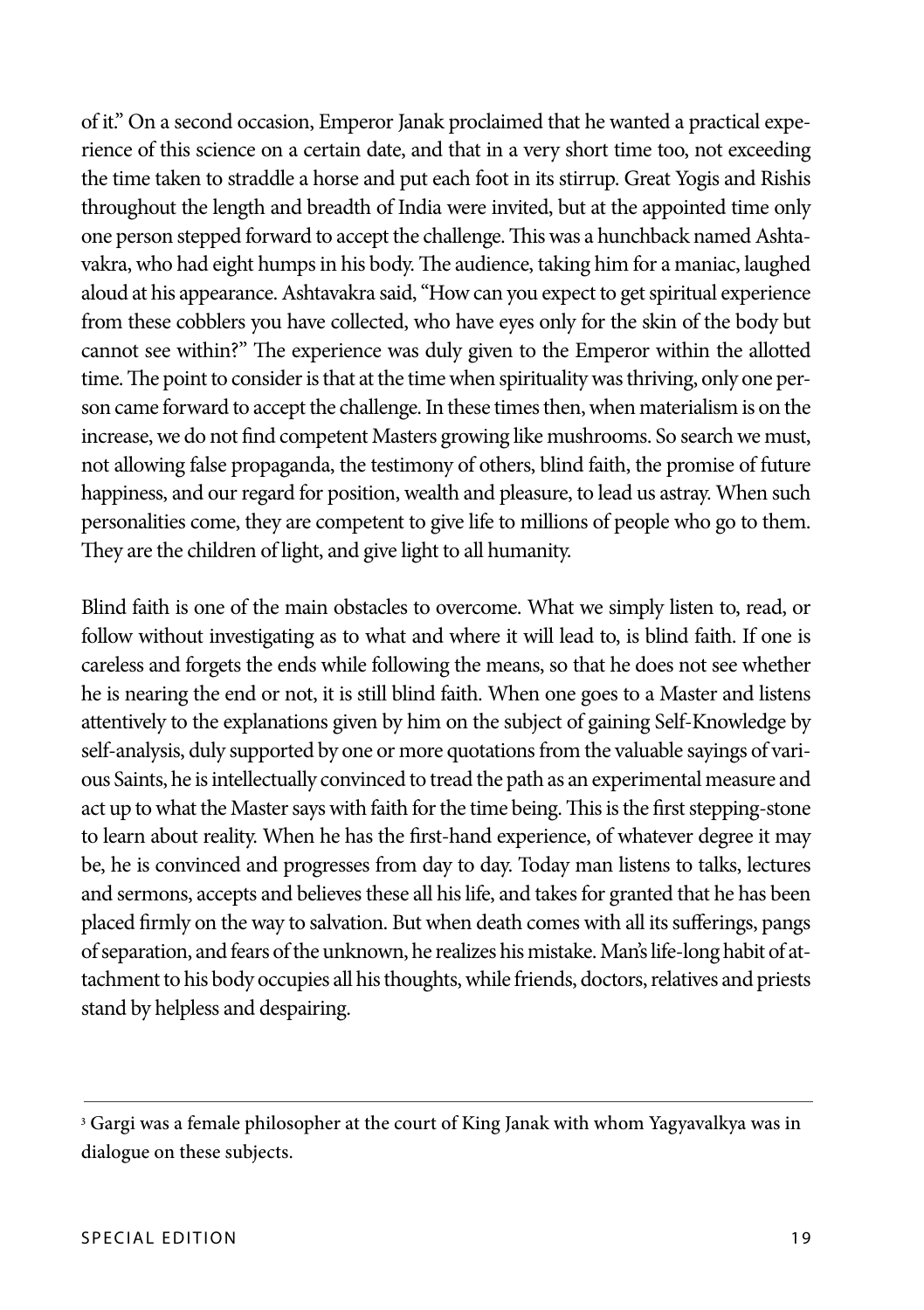of it." On a second occasion, Emperor Janak proclaimed that he wanted a practical experience of this science on a certain date, and that in a very short time too, not exceeding the time taken to straddle a horse and put each foot in its stirrup. Great Yogis and Rishis throughout the length and breadth of India were invited, but at the appointed time only one person stepped forward to accept the challenge. This was a hunchback named Ashtavakra, who had eight humps in his body. The audience, taking him for a maniac, laughed aloud at his appearance. Ashtavakra said, "How can you expect to get spiritual experience from these cobblers you have collected, who have eyes only for the skin of the body but cannot see within?" The experience was duly given to the Emperor within the allotted time. The point to consider is that at the time when spirituality was thriving, only one person came forward to accept the challenge. In these times then, when materialism is on the increase, we do not find competent Masters growing like mushrooms. So search we must, not allowing false propaganda, the testimony of others, blind faith, the promise of future happiness, and our regard for position, wealth and pleasure, to lead us astray. When such personalities come, they are competent to give life to millions of people who go to them. They are the children of light, and give light to all humanity.

Blind faith is one of the main obstacles to overcome. What we simply listen to, read, or follow without investigating as to what and where it will lead to, is blind faith. If one is careless and forgets the ends while following the means, so that he does not see whether he is nearing the end or not, it is still blind faith. When one goes to a Master and listens attentively to the explanations given by him on the subject of gaining Self-Knowledge by self-analysis, duly supported by one or more quotations from the valuable sayings of various Saints, he is intellectually convinced to tread the path as an experimental measure and act up to what the Master says with faith for the time being. This is the first stepping-stone to learn about reality. When he has the first-hand experience, of whatever degree it may be, he is convinced and progresses from day to day. Today man listens to talks, lectures and sermons, accepts and believes these all his life, and takes for granted that he has been placed firmly on the way to salvation. But when death comes with all its sufferings, pangs of separation, and fears of the unknown, he realizes his mistake. Man's life-long habit of attachment to his body occupies all his thoughts, while friends, doctors, relatives and priests stand by helpless and despairing.

<sup>&</sup>lt;sup>3</sup> Gargi was a female philosopher at the court of King Janak with whom Yagyavalkya was in dialogue on these subjects.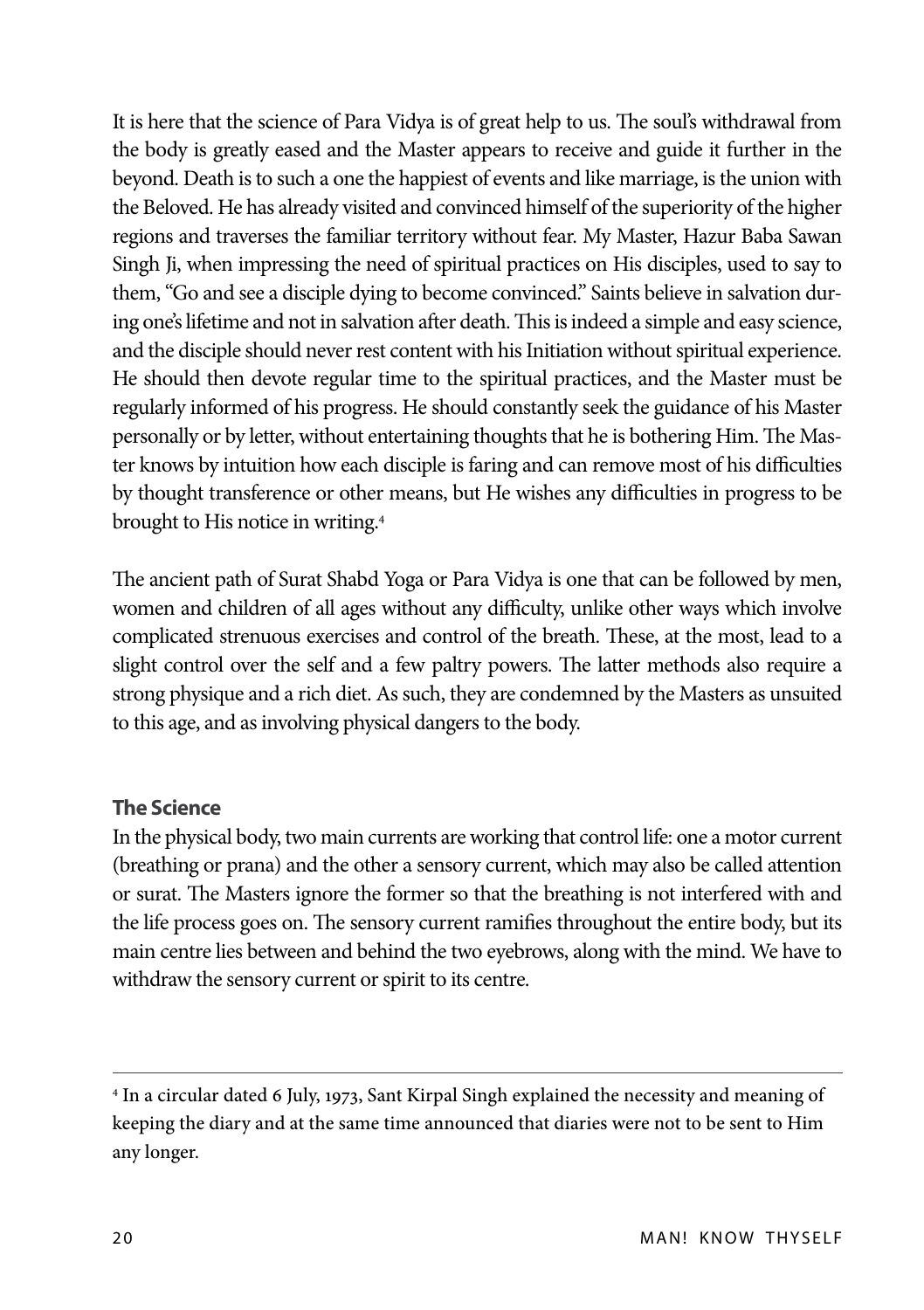It is here that the science of Para Vidya is of great help to us. The soul's withdrawal from the body is greatly eased and the Master appears to receive and guide it further in the beyond. Death is to such a one the happiest of events and like marriage, is the union with the Beloved. He has already visited and convinced himself of the superiority of the higher regions and traverses the familiar territory without fear. My Master, Hazur Baba Sawan Singh Ji, when impressing the need of spiritual practices on His disciples, used to say to them, "Go and see a disciple dying to become convinced." Saints believe in salvation during one's lifetime and not in salvation after death. This is indeed a simple and easy science, and the disciple should never rest content with his Initiation without spiritual experience. He should then devote regular time to the spiritual practices, and the Master must be regularly informed of his progress. He should constantly seek the guidance of his Master personally or by letter, without entertaining thoughts that he is bothering Him. The Master knows by intuition how each disciple is faring and can remove most of his difficulties by thought transference or other means, but He wishes any difficulties in progress to be brought to His notice in writing.4

The ancient path of Surat Shabd Yoga or Para Vidya is one that can be followed by men, women and children of all ages without any difficulty, unlike other ways which involve complicated strenuous exercises and control of the breath. These, at the most, lead to a slight control over the self and a few paltry powers. The latter methods also require a strong physique and a rich diet. As such, they are condemned by the Masters as unsuited to this age, and as involving physical dangers to the body.

#### **The Science**

In the physical body, two main currents are working that control life: one a motor current (breathing or prana) and the other a sensory current, which may also be called attention or surat. The Masters ignore the former so that the breathing is not interfered with and the life process goes on. The sensory current ramifies throughout the entire body, but its main centre lies between and behind the two eyebrows, along with the mind. We have to withdraw the sensory current or spirit to its centre.

<sup>4</sup> In a circular dated 6 July, 1973, Sant Kirpal Singh explained the necessity and meaning of keeping the diary and at the same time announced that diaries were not to be sent to Him any longer.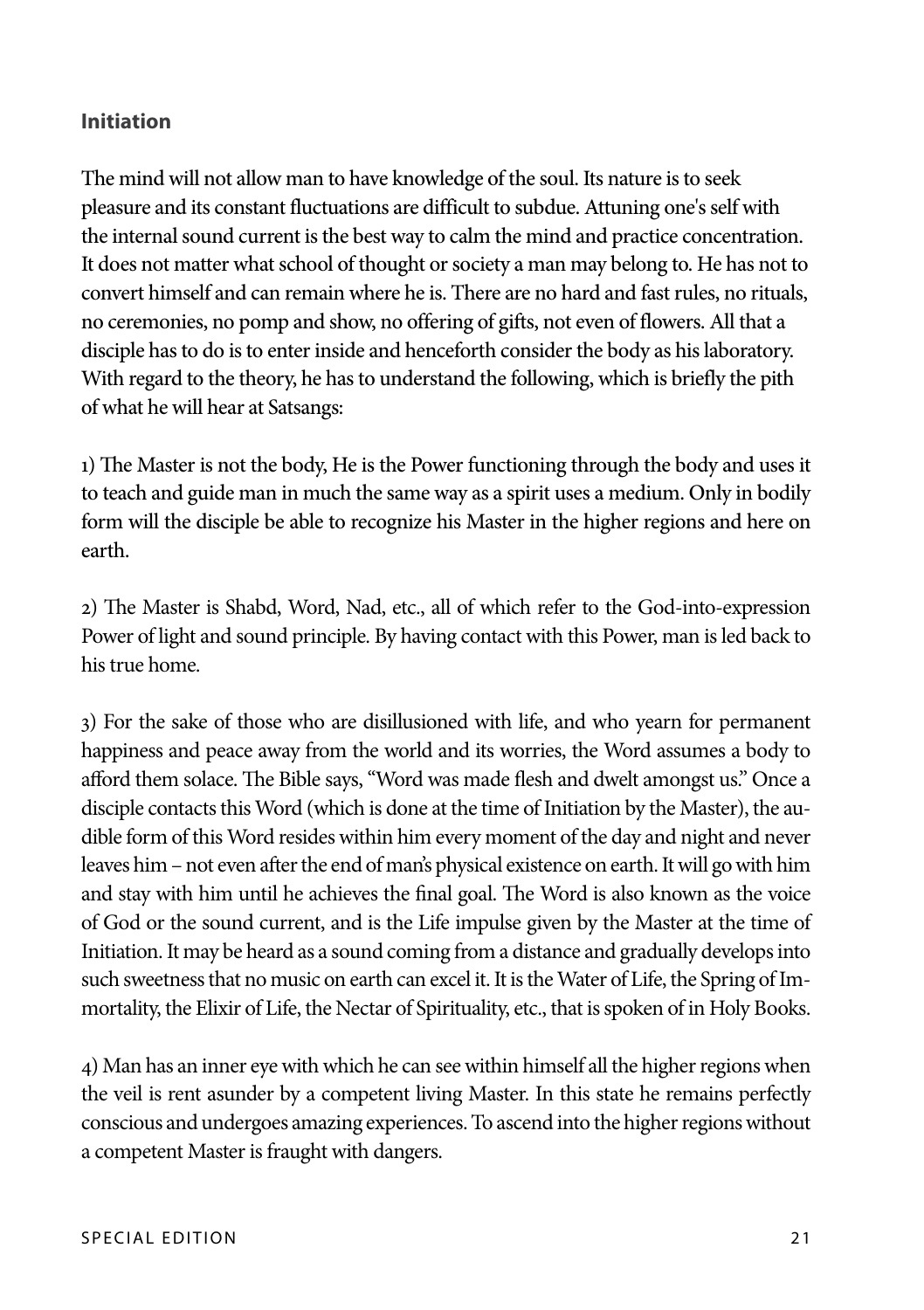#### **Initiation**

The mind will not allow man to have knowledge of the soul. Its nature is to seek pleasure and its constant fluctuations are difficult to subdue. Attuning one's self with the internal sound current is the best way to calm the mind and practice concentration. It does not matter what school of thought or society a man may belong to. He has not to convert himself and can remain where he is. There are no hard and fast rules, no rituals, no ceremonies, no pomp and show, no offering of gifts, not even of flowers. All that a disciple has to do is to enter inside and henceforth consider the body as his laboratory. With regard to the theory, he has to understand the following, which is briefly the pith of what he will hear at Satsangs:

1) The Master is not the body, He is the Power functioning through the body and uses it to teach and guide man in much the same way as a spirit uses a medium. Only in bodily form will the disciple be able to recognize his Master in the higher regions and here on earth.

2) The Master is Shabd, Word, Nad, etc., all of which refer to the God-into-expression Power of light and sound principle. By having contact with this Power, man is led back to his true home.

3) For the sake of those who are disillusioned with life, and who yearn for permanent happiness and peace away from the world and its worries, the Word assumes a body to afford them solace. The Bible says, "Word was made flesh and dwelt amongst us." Once a disciple contacts this Word (which is done at the time of Initiation by the Master), the audible form of this Word resides within him every moment of the day and night and never leaves him – not even after the end of man's physical existence on earth. It will go with him and stay with him until he achieves the final goal. The Word is also known as the voice of God or the sound current, and is the Life impulse given by the Master at the time of Initiation. It may be heard as a sound coming from a distance and gradually develops into such sweetness that no music on earth can excel it. It is the Water of Life, the Spring of Immortality, the Elixir of Life, the Nectar of Spirituality, etc., that is spoken of in Holy Books.

4) Man has an inner eye with which he can see within himself all the higher regions when the veil is rent asunder by a competent living Master. In this state he remains perfectly conscious and undergoes amazing experiences. To ascend into the higher regions without a competent Master is fraught with dangers.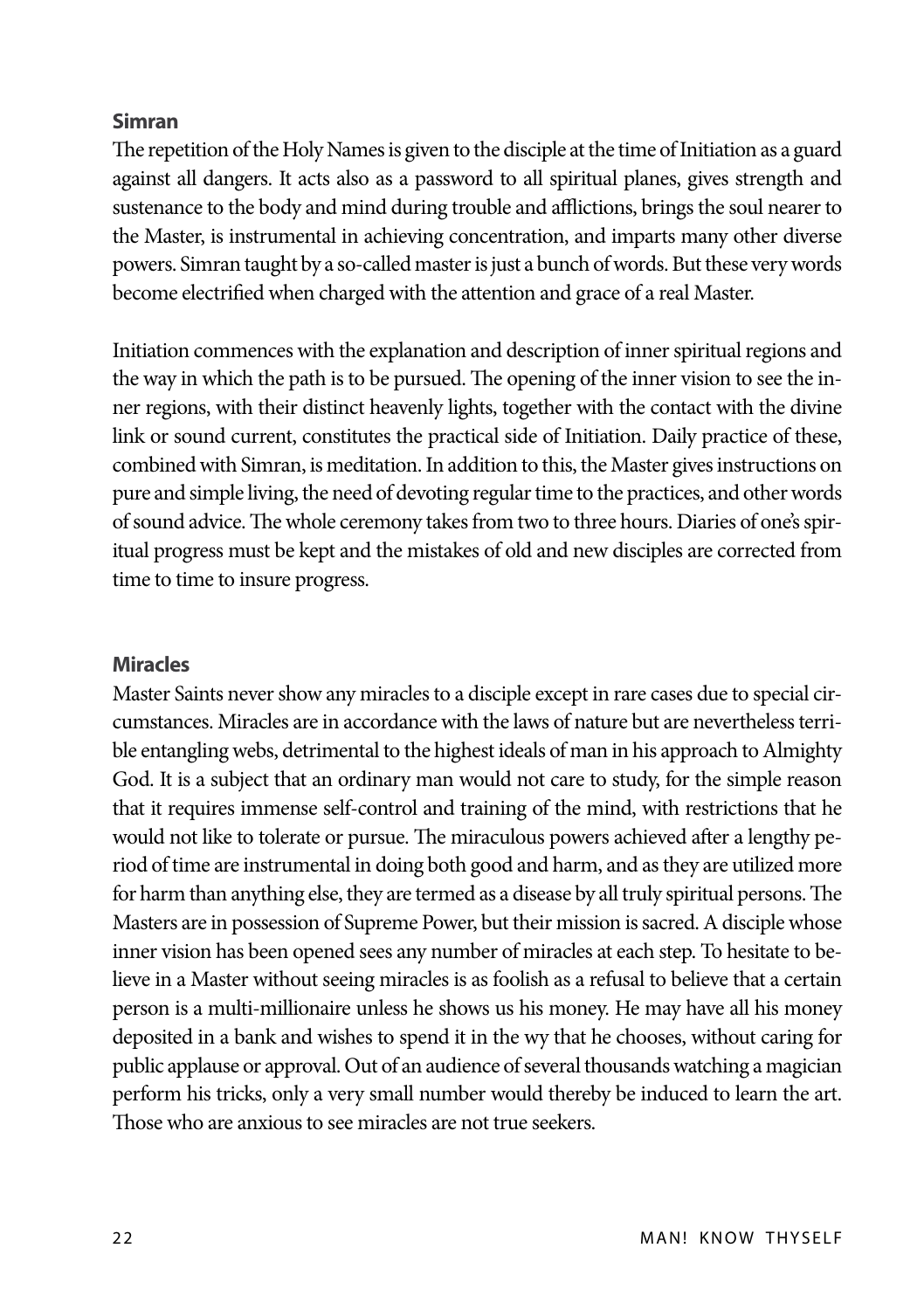#### **Simran**

The repetition of the Holy Names is given to the disciple at the time of Initiation as a guard against all dangers. It acts also as a password to all spiritual planes, gives strength and sustenance to the body and mind during trouble and afflictions, brings the soul nearer to the Master, is instrumental in achieving concentration, and imparts many other diverse powers. Simran taught by a so-called master is just a bunch of words. But these very words become electrified when charged with the attention and grace of a real Master.

Initiation commences with the explanation and description of inner spiritual regions and the way in which the path is to be pursued. The opening of the inner vision to see the inner regions, with their distinct heavenly lights, together with the contact with the divine link or sound current, constitutes the practical side of Initiation. Daily practice of these, combined with Simran, is meditation. In addition to this, the Master gives instructions on pure and simple living, the need of devoting regular time to the practices, and other words of sound advice. The whole ceremony takes from two to three hours. Diaries of one's spiritual progress must be kept and the mistakes of old and new disciples are corrected from time to time to insure progress.

#### **Miracles**

Master Saints never show any miracles to a disciple except in rare cases due to special circumstances. Miracles are in accordance with the laws of nature but are nevertheless terrible entangling webs, detrimental to the highest ideals of man in his approach to Almighty God. It is a subject that an ordinary man would not care to study, for the simple reason that it requires immense self-control and training of the mind, with restrictions that he would not like to tolerate or pursue. The miraculous powers achieved after a lengthy period of time are instrumental in doing both good and harm, and as they are utilized more for harm than anything else, they are termed as a disease by all truly spiritual persons. The Masters are in possession of Supreme Power, but their mission is sacred. A disciple whose inner vision has been opened sees any number of miracles at each step. To hesitate to believe in a Master without seeing miracles is as foolish as a refusal to believe that a certain person is a multi-millionaire unless he shows us his money. He may have all his money deposited in a bank and wishes to spend it in the wy that he chooses, without caring for public applause or approval. Out of an audience of several thousands watching a magician perform his tricks, only a very small number would thereby be induced to learn the art. Those who are anxious to see miracles are not true seekers.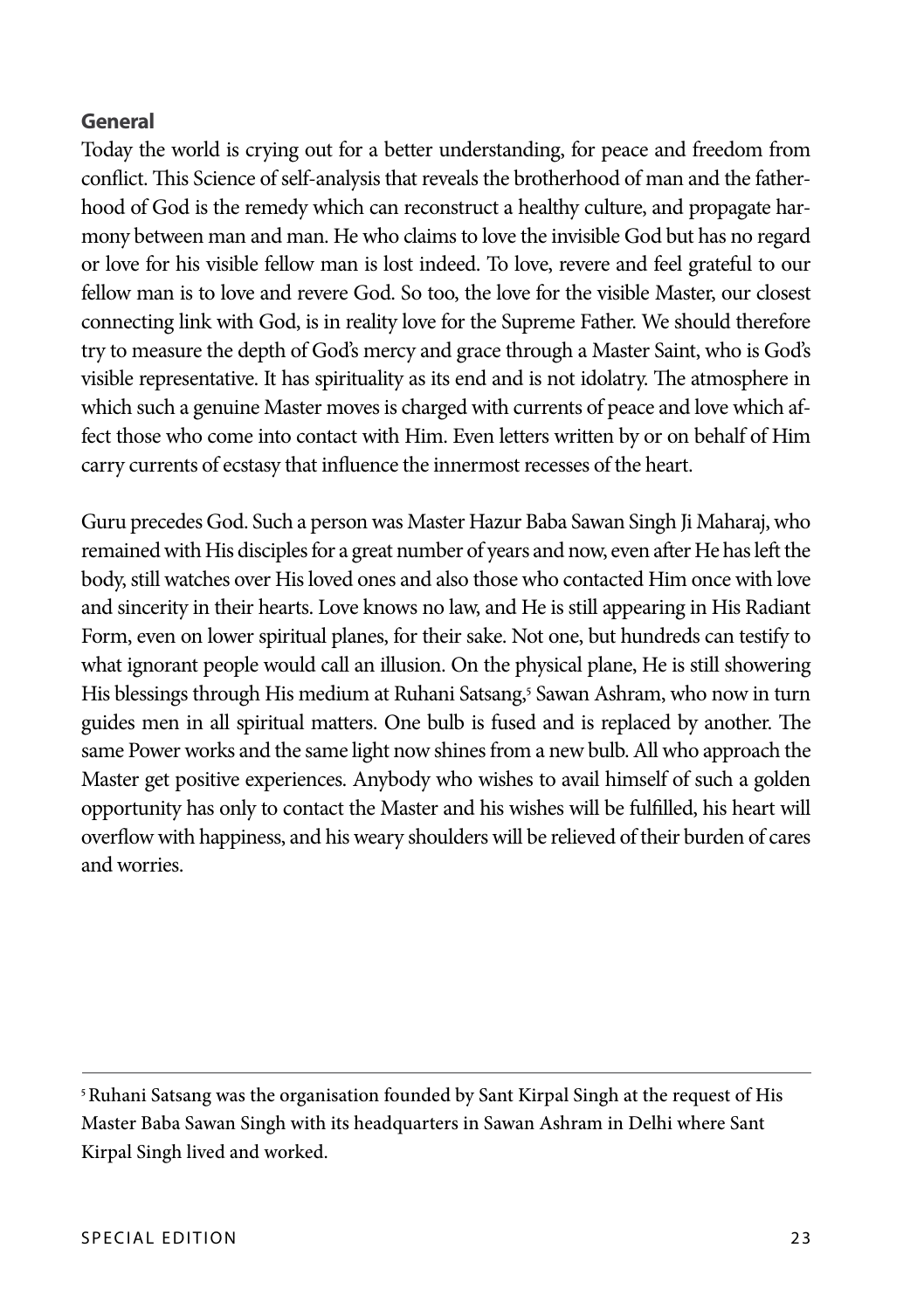#### **General**

Today the world is crying out for a better understanding, for peace and freedom from conflict. This Science of self-analysis that reveals the brotherhood of man and the fatherhood of God is the remedy which can reconstruct a healthy culture, and propagate harmony between man and man. He who claims to love the invisible God but has no regard or love for his visible fellow man is lost indeed. To love, revere and feel grateful to our fellow man is to love and revere God. So too, the love for the visible Master, our closest connecting link with God, is in reality love for the Supreme Father. We should therefore try to measure the depth of God's mercy and grace through a Master Saint, who is God's visible representative. It has spirituality as its end and is not idolatry. The atmosphere in which such a genuine Master moves is charged with currents of peace and love which affect those who come into contact with Him. Even letters written by or on behalf of Him carry currents of ecstasy that influence the innermost recesses of the heart.

Guru precedes God. Such a person was Master Hazur Baba Sawan Singh Ji Maharaj, who remained with His disciples for a great number of years and now, even after He has left the body, still watches over His loved ones and also those who contacted Him once with love and sincerity in their hearts. Love knows no law, and He is still appearing in His Radiant Form, even on lower spiritual planes, for their sake. Not one, but hundreds can testify to what ignorant people would call an illusion. On the physical plane, He is still showering His blessings through His medium at Ruhani Satsang,<sup>5</sup> Sawan Ashram, who now in turn guides men in all spiritual matters. One bulb is fused and is replaced by another. The same Power works and the same light now shines from a new bulb. All who approach the Master get positive experiences. Anybody who wishes to avail himself of such a golden opportunity has only to contact the Master and his wishes will be fulfilled, his heart will overflow with happiness, and his weary shoulders will be relieved of their burden of cares and worries.

<sup>5</sup> Ruhani Satsang was the organisation founded by Sant Kirpal Singh at the request of His Master Baba Sawan Singh with its headquarters in Sawan Ashram in Delhi where Sant Kirpal Singh lived and worked.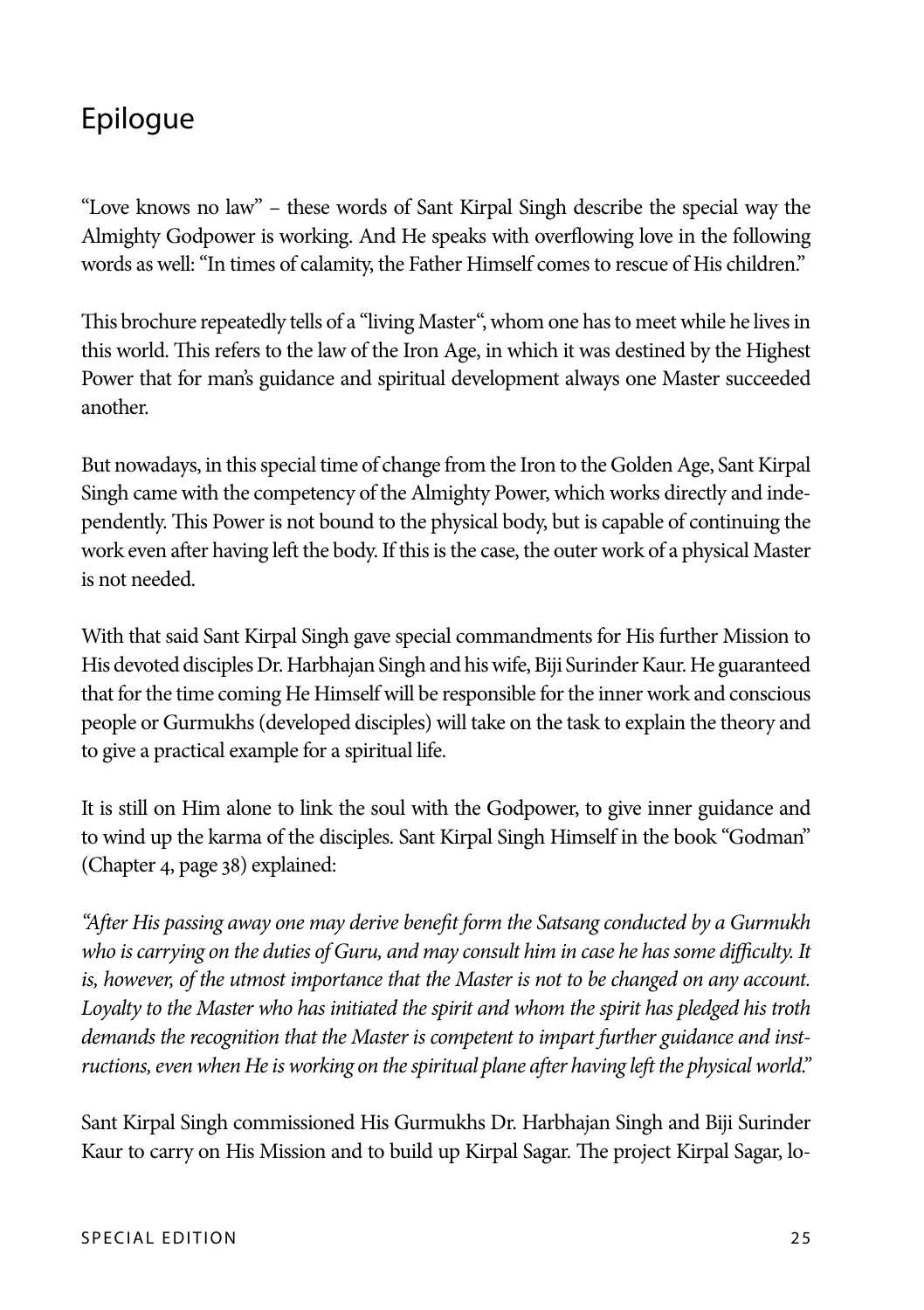## Epilogue

"Love knows no law" – these words of Sant Kirpal Singh describe the special way the Almighty Godpower is working. And He speaks with overflowing love in the following words as well: "In times of calamity, the Father Himself comes to rescue of His children."

This brochure repeatedly tells of a "living Master", whom one has to meet while he lives in this world. This refers to the law of the Iron Age, in which it was destined by the Highest Power that for man's guidance and spiritual development always one Master succeeded another.

But nowadays, in this special time of change from the Iron to the Golden Age, Sant Kirpal Singh came with the competency of the Almighty Power, which works directly and independently. This Power is not bound to the physical body, but is capable of continuing the work even after having left the body. If this is the case, the outer work of a physical Master is not needed.

With that said Sant Kirpal Singh gave special commandments for His further Mission to His devoted disciples Dr. Harbhajan Singh and his wife, Biji Surinder Kaur. He guaranteed that for the time coming He Himself will be responsible for the inner work and conscious people or Gurmukhs (developed disciples) will take on the task to explain the theory and to give a practical example for a spiritual life.

It is still on Him alone to link the soul with the Godpower, to give inner guidance and to wind up the karma of the disciples. Sant Kirpal Singh Himself in the book "Godman" (Chapter 4, page 38) explained:

*"After His passing away one may derive benefit form the Satsang conducted by a Gurmukh who is carrying on the duties of Guru, and may consult him in case he has some difficulty. It*  is, however, of the utmost importance that the Master is not to be changed on any account. *Loyalty to the Master who has initiated the spirit and whom the spirit has pledged his troth demands the recognition that the Master is competent to impart further guidance and instructions, even when He is working on the spiritual plane after having left the physical world."*

Sant Kirpal Singh commissioned His Gurmukhs Dr. Harbhajan Singh and Biji Surinder Kaur to carry on His Mission and to build up Kirpal Sagar. The project Kirpal Sagar, lo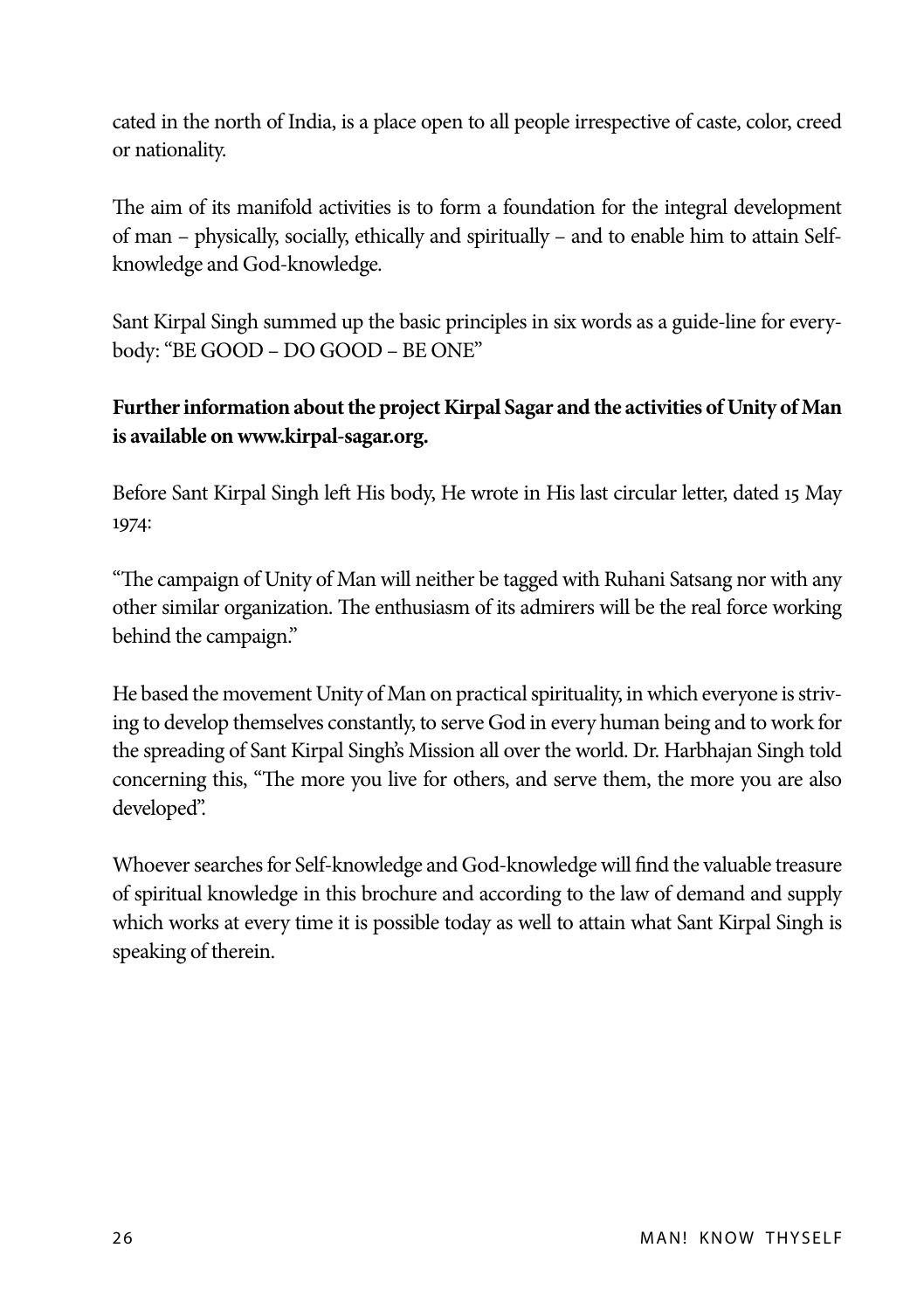cated in the north of India, is a place open to all people irrespective of caste, color, creed or nationality.

The aim of its manifold activities is to form a foundation for the integral development of man – physically, socially, ethically and spiritually – and to enable him to attain Selfknowledge and God-knowledge.

Sant Kirpal Singh summed up the basic principles in six words as a guide-line for everybody: "BE GOOD – DO GOOD – BE ONE"

#### **Further information about the project Kirpal Sagar and the activities of Unity of Man is available on www.kirpal-sagar.org.**

Before Sant Kirpal Singh left His body, He wrote in His last circular letter, dated 15 May 1974:

"The campaign of Unity of Man will neither be tagged with Ruhani Satsang nor with any other similar organization. The enthusiasm of its admirers will be the real force working behind the campaign."

He based the movement Unity of Man on practical spirituality, in which everyone is striving to develop themselves constantly, to serve God in every human being and to work for the spreading of Sant Kirpal Singh's Mission all over the world. Dr. Harbhajan Singh told concerning this, "The more you live for others, and serve them, the more you are also developed".

Whoever searches for Self-knowledge and God-knowledge will find the valuable treasure of spiritual knowledge in this brochure and according to the law of demand and supply which works at every time it is possible today as well to attain what Sant Kirpal Singh is speaking of therein.